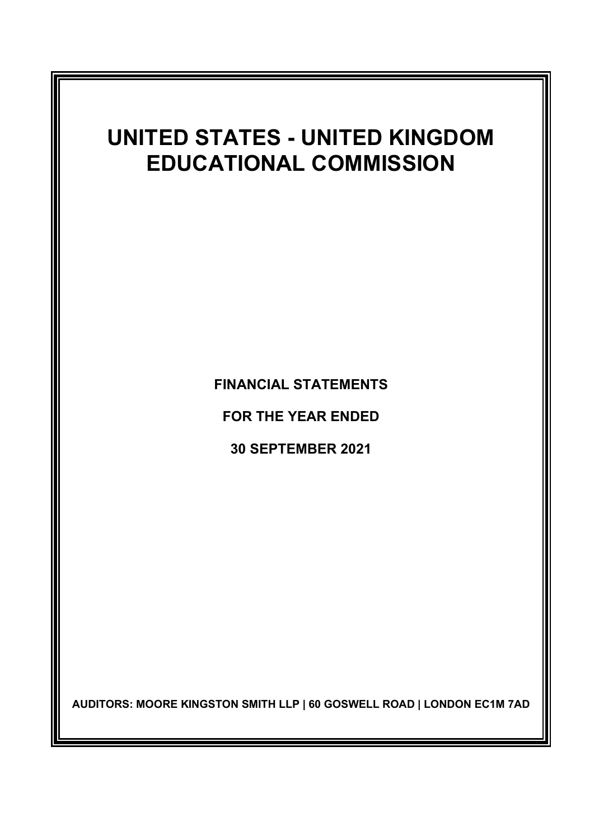# UNITED STATES - UNITED KINGDOM EDUCATIONAL COMMISSION

FINANCIAL STATEMENTS

FOR THE YEAR ENDED

30 SEPTEMBER 2021

AUDITORS: MOORE KINGSTON SMITH LLP | 60 GOSWELL ROAD | LONDON EC1M 7AD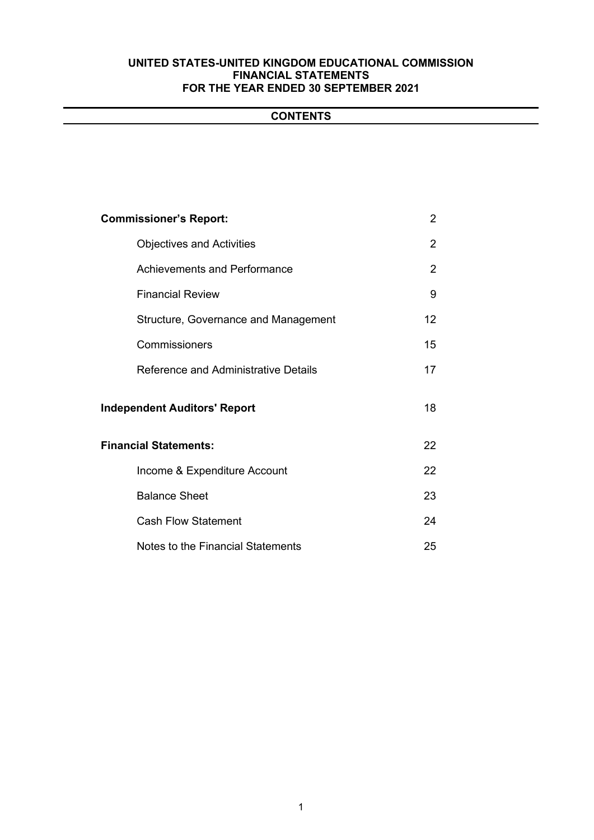# **CONTENTS**

| <b>Commissioner's Report:</b>               | 2  |
|---------------------------------------------|----|
| <b>Objectives and Activities</b>            | 2  |
| <b>Achievements and Performance</b>         | 2  |
| <b>Financial Review</b>                     | 9  |
| Structure, Governance and Management        | 12 |
| Commissioners                               | 15 |
| <b>Reference and Administrative Details</b> | 17 |
| <b>Independent Auditors' Report</b>         | 18 |
| <b>Financial Statements:</b>                | 22 |
| Income & Expenditure Account                | 22 |
| <b>Balance Sheet</b>                        | 23 |
| <b>Cash Flow Statement</b>                  | 24 |
| Notes to the Financial Statements           | 25 |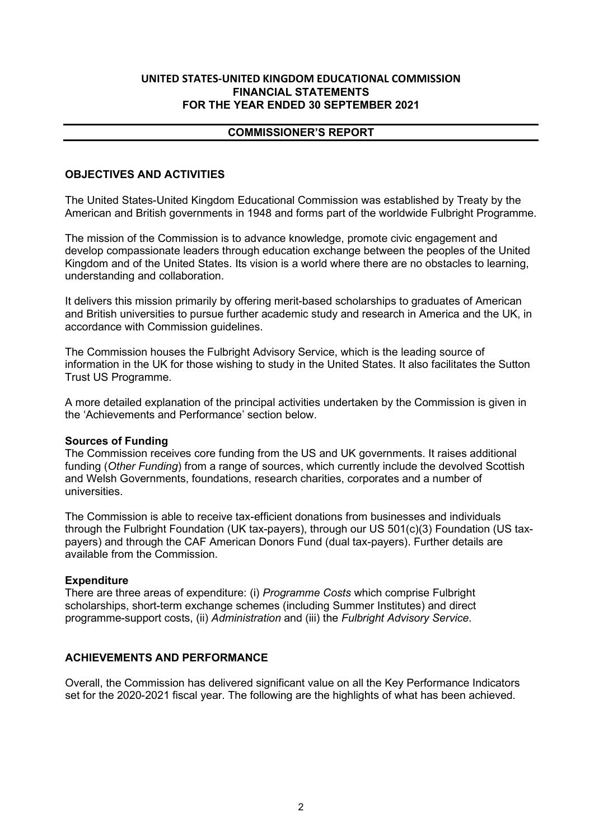### COMMISSIONER'S REPORT

# OBJECTIVES AND ACTIVITIES

The United States-United Kingdom Educational Commission was established by Treaty by the American and British governments in 1948 and forms part of the worldwide Fulbright Programme.

The mission of the Commission is to advance knowledge, promote civic engagement and develop compassionate leaders through education exchange between the peoples of the United Kingdom and of the United States. Its vision is a world where there are no obstacles to learning, understanding and collaboration.

It delivers this mission primarily by offering merit-based scholarships to graduates of American and British universities to pursue further academic study and research in America and the UK, in accordance with Commission guidelines.

The Commission houses the Fulbright Advisory Service, which is the leading source of information in the UK for those wishing to study in the United States. It also facilitates the Sutton Trust US Programme.

A more detailed explanation of the principal activities undertaken by the Commission is given in the 'Achievements and Performance' section below.

### Sources of Funding

The Commission receives core funding from the US and UK governments. It raises additional funding (*Other Funding*) from a range of sources, which currently include the devolved Scottish and Welsh Governments, foundations, research charities, corporates and a number of universities.

The Commission is able to receive tax-efficient donations from businesses and individuals through the Fulbright Foundation (UK tax-payers), through our US 501(c)(3) Foundation (US taxpayers) and through the CAF American Donors Fund (dual tax-payers). Further details are available from the Commission.

# Expenditure

There are three areas of expenditure: (i) *Programme Costs* which comprise Fulbright scholarships, short-term exchange schemes (including Summer Institutes) and direct programme-support costs, (ii) *Administration* and (iii) the *Fulbright Advisory Service*.

# ACHIEVEMENTS AND PERFORMANCE

Overall, the Commission has delivered significant value on all the Key Performance Indicators set for the 2020-2021 fiscal year. The following are the highlights of what has been achieved.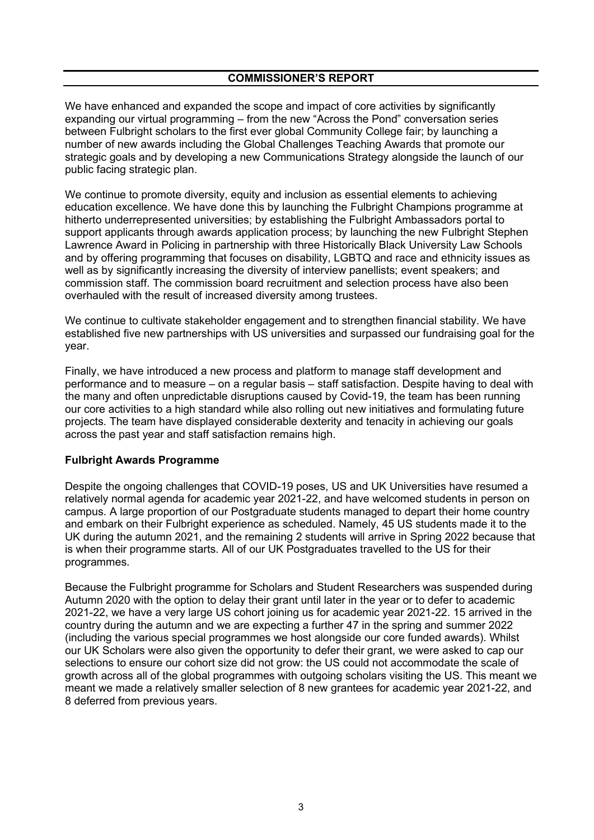We have enhanced and expanded the scope and impact of core activities by significantly expanding our virtual programming – from the new "Across the Pond" conversation series between Fulbright scholars to the first ever global Community College fair; by launching a number of new awards including the Global Challenges Teaching Awards that promote our strategic goals and by developing a new Communications Strategy alongside the launch of our public facing strategic plan.

We continue to promote diversity, equity and inclusion as essential elements to achieving education excellence. We have done this by launching the Fulbright Champions programme at hitherto underrepresented universities; by establishing the Fulbright Ambassadors portal to support applicants through awards application process; by launching the new Fulbright Stephen Lawrence Award in Policing in partnership with three Historically Black University Law Schools and by offering programming that focuses on disability, LGBTQ and race and ethnicity issues as well as by significantly increasing the diversity of interview panellists; event speakers; and commission staff. The commission board recruitment and selection process have also been overhauled with the result of increased diversity among trustees.

We continue to cultivate stakeholder engagement and to strengthen financial stability. We have established five new partnerships with US universities and surpassed our fundraising goal for the year.

Finally, we have introduced a new process and platform to manage staff development and performance and to measure – on a regular basis – staff satisfaction. Despite having to deal with the many and often unpredictable disruptions caused by Covid-19, the team has been running our core activities to a high standard while also rolling out new initiatives and formulating future projects. The team have displayed considerable dexterity and tenacity in achieving our goals across the past year and staff satisfaction remains high.

# Fulbright Awards Programme

Despite the ongoing challenges that COVID-19 poses, US and UK Universities have resumed a relatively normal agenda for academic year 2021-22, and have welcomed students in person on campus. A large proportion of our Postgraduate students managed to depart their home country and embark on their Fulbright experience as scheduled. Namely, 45 US students made it to the UK during the autumn 2021, and the remaining 2 students will arrive in Spring 2022 because that is when their programme starts. All of our UK Postgraduates travelled to the US for their programmes.

Because the Fulbright programme for Scholars and Student Researchers was suspended during Autumn 2020 with the option to delay their grant until later in the year or to defer to academic 2021-22, we have a very large US cohort joining us for academic year 2021-22. 15 arrived in the country during the autumn and we are expecting a further 47 in the spring and summer 2022 (including the various special programmes we host alongside our core funded awards). Whilst our UK Scholars were also given the opportunity to defer their grant, we were asked to cap our selections to ensure our cohort size did not grow: the US could not accommodate the scale of growth across all of the global programmes with outgoing scholars visiting the US. This meant we meant we made a relatively smaller selection of 8 new grantees for academic year 2021-22, and 8 deferred from previous years.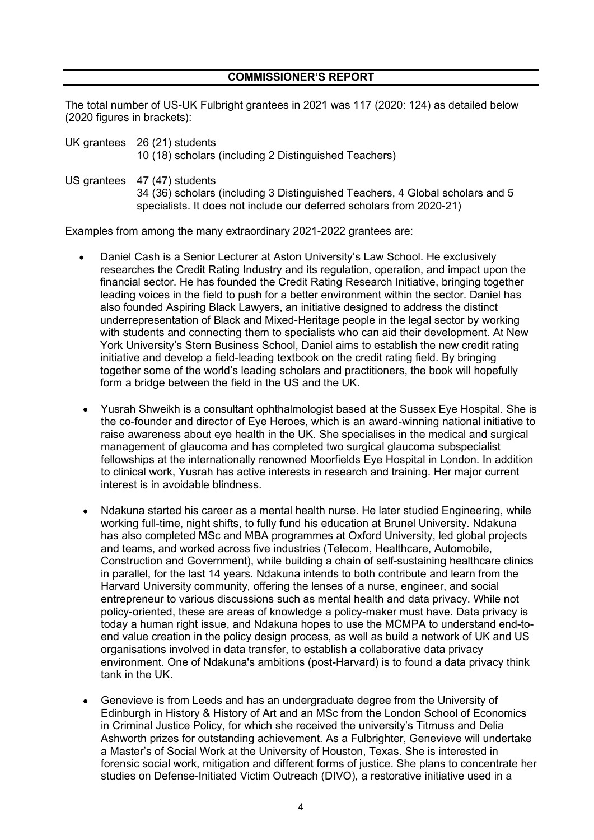The total number of US-UK Fulbright grantees in 2021 was 117 (2020: 124) as detailed below (2020 figures in brackets):

UK grantees 26 (21) students 10 (18) scholars (including 2 Distinguished Teachers)

US grantees 47 (47) students

34 (36) scholars (including 3 Distinguished Teachers, 4 Global scholars and 5 specialists. It does not include our deferred scholars from 2020-21)

Examples from among the many extraordinary 2021-2022 grantees are:

- Daniel Cash is a Senior Lecturer at Aston University's Law School. He exclusively researches the Credit Rating Industry and its regulation, operation, and impact upon the financial sector. He has founded the Credit Rating Research Initiative, bringing together leading voices in the field to push for a better environment within the sector. Daniel has also founded Aspiring Black Lawyers, an initiative designed to address the distinct underrepresentation of Black and Mixed-Heritage people in the legal sector by working with students and connecting them to specialists who can aid their development. At New York University's Stern Business School, Daniel aims to establish the new credit rating initiative and develop a field-leading textbook on the credit rating field. By bringing together some of the world's leading scholars and practitioners, the book will hopefully form a bridge between the field in the US and the UK.
- Yusrah Shweikh is a consultant ophthalmologist based at the Sussex Eye Hospital. She is the co-founder and director of Eye Heroes, which is an award-winning national initiative to raise awareness about eye health in the UK. She specialises in the medical and surgical management of glaucoma and has completed two surgical glaucoma subspecialist fellowships at the internationally renowned Moorfields Eye Hospital in London. In addition to clinical work, Yusrah has active interests in research and training. Her major current interest is in avoidable blindness.
- Ndakuna started his career as a mental health nurse. He later studied Engineering, while working full-time, night shifts, to fully fund his education at Brunel University. Ndakuna has also completed MSc and MBA programmes at Oxford University, led global projects and teams, and worked across five industries (Telecom, Healthcare, Automobile, Construction and Government), while building a chain of self-sustaining healthcare clinics in parallel, for the last 14 years. Ndakuna intends to both contribute and learn from the Harvard University community, offering the lenses of a nurse, engineer, and social entrepreneur to various discussions such as mental health and data privacy. While not policy-oriented, these are areas of knowledge a policy-maker must have. Data privacy is today a human right issue, and Ndakuna hopes to use the MCMPA to understand end-toend value creation in the policy design process, as well as build a network of UK and US organisations involved in data transfer, to establish a collaborative data privacy environment. One of Ndakuna's ambitions (post-Harvard) is to found a data privacy think tank in the UK.
- Genevieve is from Leeds and has an undergraduate degree from the University of Edinburgh in History & History of Art and an MSc from the London School of Economics in Criminal Justice Policy, for which she received the university's Titmuss and Delia Ashworth prizes for outstanding achievement. As a Fulbrighter, Genevieve will undertake a Master's of Social Work at the University of Houston, Texas. She is interested in forensic social work, mitigation and different forms of justice. She plans to concentrate her studies on Defense-Initiated Victim Outreach (DIVO), a restorative initiative used in a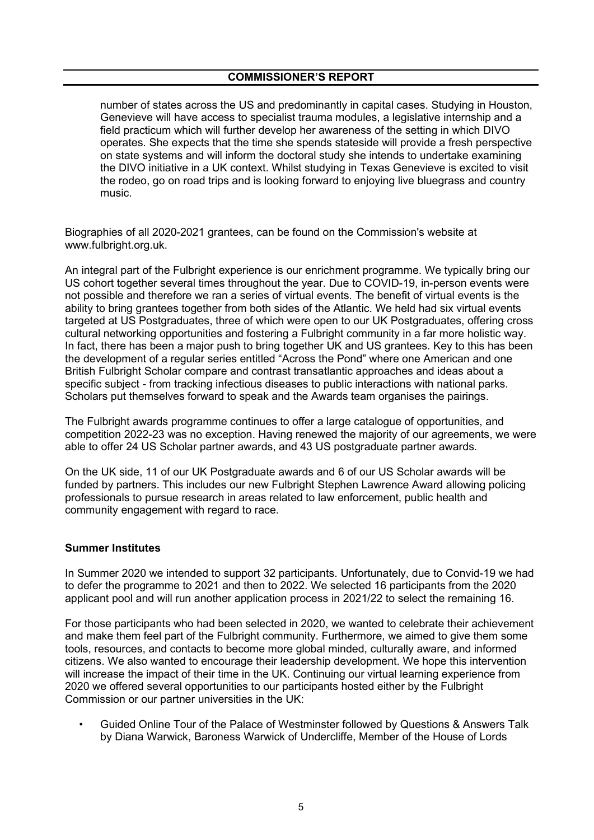number of states across the US and predominantly in capital cases. Studying in Houston, Genevieve will have access to specialist trauma modules, a legislative internship and a field practicum which will further develop her awareness of the setting in which DIVO operates. She expects that the time she spends stateside will provide a fresh perspective on state systems and will inform the doctoral study she intends to undertake examining the DIVO initiative in a UK context. Whilst studying in Texas Genevieve is excited to visit the rodeo, go on road trips and is looking forward to enjoying live bluegrass and country music.

Biographies of all 2020-2021 grantees, can be found on the Commission's website at www.fulbright.org.uk.

An integral part of the Fulbright experience is our enrichment programme. We typically bring our US cohort together several times throughout the year. Due to COVID-19, in-person events were not possible and therefore we ran a series of virtual events. The benefit of virtual events is the ability to bring grantees together from both sides of the Atlantic. We held had six virtual events targeted at US Postgraduates, three of which were open to our UK Postgraduates, offering cross cultural networking opportunities and fostering a Fulbright community in a far more holistic way. In fact, there has been a major push to bring together UK and US grantees. Key to this has been the development of a regular series entitled "Across the Pond" where one American and one British Fulbright Scholar compare and contrast transatlantic approaches and ideas about a specific subject - from tracking infectious diseases to public interactions with national parks. Scholars put themselves forward to speak and the Awards team organises the pairings.

The Fulbright awards programme continues to offer a large catalogue of opportunities, and competition 2022-23 was no exception. Having renewed the majority of our agreements, we were able to offer 24 US Scholar partner awards, and 43 US postgraduate partner awards.

On the UK side, 11 of our UK Postgraduate awards and 6 of our US Scholar awards will be funded by partners. This includes our new Fulbright Stephen Lawrence Award allowing policing professionals to pursue research in areas related to law enforcement, public health and community engagement with regard to race.

### Summer Institutes

In Summer 2020 we intended to support 32 participants. Unfortunately, due to Convid-19 we had to defer the programme to 2021 and then to 2022. We selected 16 participants from the 2020 applicant pool and will run another application process in 2021/22 to select the remaining 16.

For those participants who had been selected in 2020, we wanted to celebrate their achievement and make them feel part of the Fulbright community. Furthermore, we aimed to give them some tools, resources, and contacts to become more global minded, culturally aware, and informed citizens. We also wanted to encourage their leadership development. We hope this intervention will increase the impact of their time in the UK. Continuing our virtual learning experience from 2020 we offered several opportunities to our participants hosted either by the Fulbright Commission or our partner universities in the UK:

• Guided Online Tour of the Palace of Westminster followed by Questions & Answers Talk by Diana Warwick, Baroness Warwick of Undercliffe, Member of the House of Lords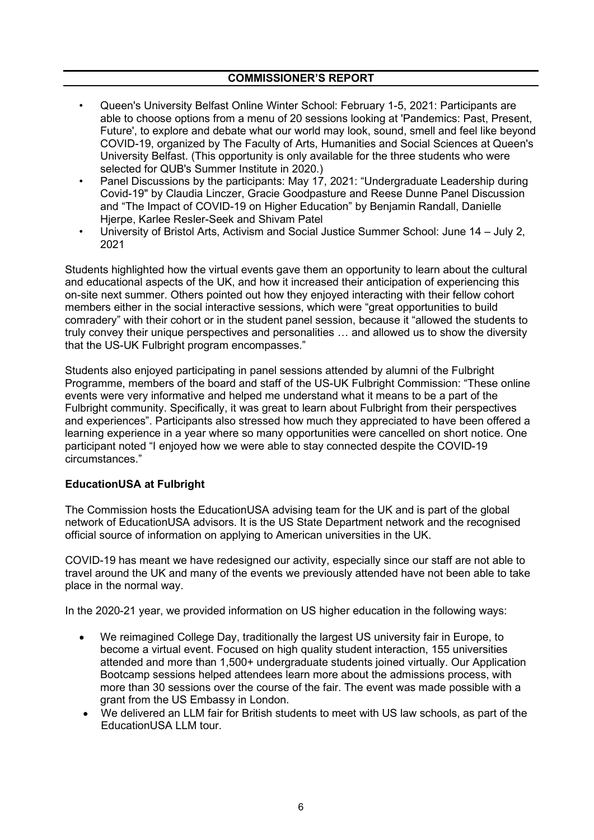- Queen's University Belfast Online Winter School: February 1-5, 2021: Participants are able to choose options from a menu of 20 sessions looking at 'Pandemics: Past, Present, Future', to explore and debate what our world may look, sound, smell and feel like beyond COVID-19, organized by The Faculty of Arts, Humanities and Social Sciences at Queen's University Belfast. (This opportunity is only available for the three students who were selected for QUB's Summer Institute in 2020.)
- Panel Discussions by the participants: May 17, 2021: "Undergraduate Leadership during Covid-19" by Claudia Linczer, Gracie Goodpasture and Reese Dunne Panel Discussion and "The Impact of COVID-19 on Higher Education" by Benjamin Randall, Danielle Hjerpe, Karlee Resler-Seek and Shivam Patel
- University of Bristol Arts, Activism and Social Justice Summer School: June 14 July 2, 2021

Students highlighted how the virtual events gave them an opportunity to learn about the cultural and educational aspects of the UK, and how it increased their anticipation of experiencing this on-site next summer. Others pointed out how they enjoyed interacting with their fellow cohort members either in the social interactive sessions, which were "great opportunities to build comradery" with their cohort or in the student panel session, because it "allowed the students to truly convey their unique perspectives and personalities … and allowed us to show the diversity that the US-UK Fulbright program encompasses."

Students also enjoyed participating in panel sessions attended by alumni of the Fulbright Programme, members of the board and staff of the US-UK Fulbright Commission: "These online events were very informative and helped me understand what it means to be a part of the Fulbright community. Specifically, it was great to learn about Fulbright from their perspectives and experiences". Participants also stressed how much they appreciated to have been offered a learning experience in a year where so many opportunities were cancelled on short notice. One participant noted "I enjoyed how we were able to stay connected despite the COVID-19 circumstances."

# EducationUSA at Fulbright

The Commission hosts the EducationUSA advising team for the UK and is part of the global network of EducationUSA advisors. It is the US State Department network and the recognised official source of information on applying to American universities in the UK.

COVID-19 has meant we have redesigned our activity, especially since our staff are not able to travel around the UK and many of the events we previously attended have not been able to take place in the normal way.

In the 2020-21 year, we provided information on US higher education in the following ways:

- We reimagined College Day, traditionally the largest US university fair in Europe, to become a virtual event. Focused on high quality student interaction, 155 universities attended and more than 1,500+ undergraduate students joined virtually. Our Application Bootcamp sessions helped attendees learn more about the admissions process, with more than 30 sessions over the course of the fair. The event was made possible with a grant from the US Embassy in London.
- We delivered an LLM fair for British students to meet with US law schools, as part of the EducationUSA LLM tour.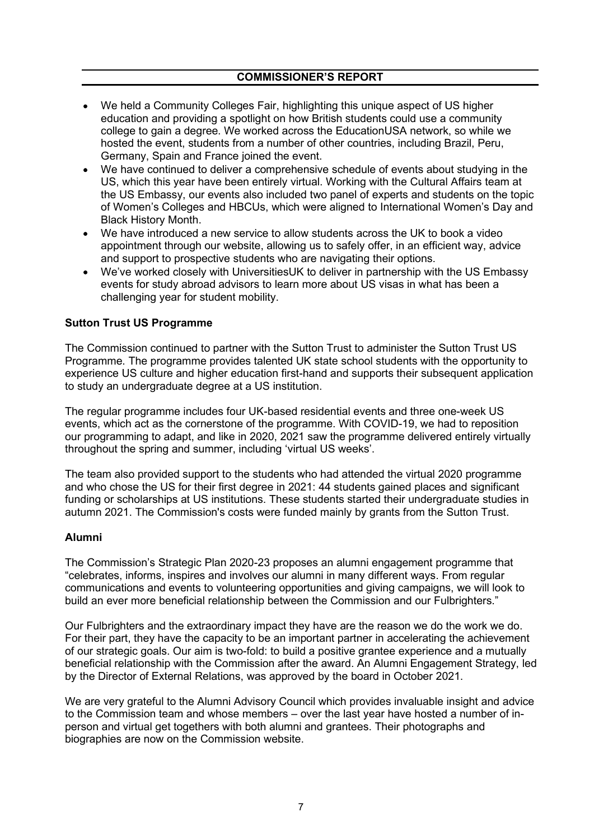- We held a Community Colleges Fair, highlighting this unique aspect of US higher education and providing a spotlight on how British students could use a community college to gain a degree. We worked across the EducationUSA network, so while we hosted the event, students from a number of other countries, including Brazil, Peru, Germany, Spain and France joined the event.
- We have continued to deliver a comprehensive schedule of events about studying in the US, which this year have been entirely virtual. Working with the Cultural Affairs team at the US Embassy, our events also included two panel of experts and students on the topic of Women's Colleges and HBCUs, which were aligned to International Women's Day and Black History Month.
- We have introduced a new service to allow students across the UK to book a video appointment through our website, allowing us to safely offer, in an efficient way, advice and support to prospective students who are navigating their options.
- We've worked closely with UniversitiesUK to deliver in partnership with the US Embassy  $\bullet$ events for study abroad advisors to learn more about US visas in what has been a challenging year for student mobility.

# Sutton Trust US Programme

The Commission continued to partner with the Sutton Trust to administer the Sutton Trust US Programme. The programme provides talented UK state school students with the opportunity to experience US culture and higher education first-hand and supports their subsequent application to study an undergraduate degree at a US institution.

The regular programme includes four UK-based residential events and three one-week US events, which act as the cornerstone of the programme. With COVID-19, we had to reposition our programming to adapt, and like in 2020, 2021 saw the programme delivered entirely virtually throughout the spring and summer, including 'virtual US weeks'.

The team also provided support to the students who had attended the virtual 2020 programme and who chose the US for their first degree in 2021: 44 students gained places and significant funding or scholarships at US institutions. These students started their undergraduate studies in autumn 2021. The Commission's costs were funded mainly by grants from the Sutton Trust.

# Alumni

The Commission's Strategic Plan 2020-23 proposes an alumni engagement programme that "celebrates, informs, inspires and involves our alumni in many different ways. From regular communications and events to volunteering opportunities and giving campaigns, we will look to build an ever more beneficial relationship between the Commission and our Fulbrighters."

Our Fulbrighters and the extraordinary impact they have are the reason we do the work we do. For their part, they have the capacity to be an important partner in accelerating the achievement of our strategic goals. Our aim is two-fold: to build a positive grantee experience and a mutually beneficial relationship with the Commission after the award. An Alumni Engagement Strategy, led by the Director of External Relations, was approved by the board in October 2021.

We are very grateful to the Alumni Advisory Council which provides invaluable insight and advice to the Commission team and whose members – over the last year have hosted a number of inperson and virtual get togethers with both alumni and grantees. Their photographs and biographies are now on the Commission website.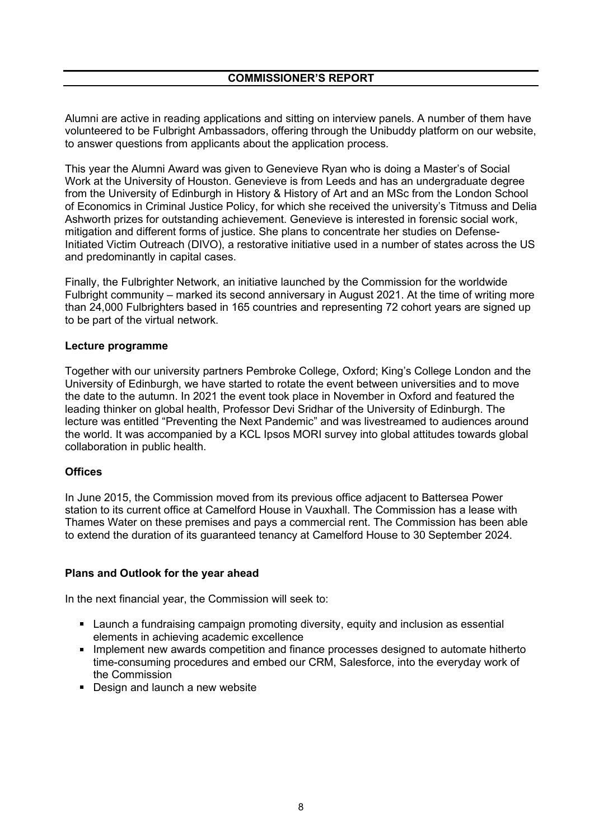Alumni are active in reading applications and sitting on interview panels. A number of them have volunteered to be Fulbright Ambassadors, offering through the Unibuddy platform on our website, to answer questions from applicants about the application process.

This year the Alumni Award was given to Genevieve Ryan who is doing a Master's of Social Work at the University of Houston. Genevieve is from Leeds and has an undergraduate degree from the University of Edinburgh in History & History of Art and an MSc from the London School of Economics in Criminal Justice Policy, for which she received the university's Titmuss and Delia Ashworth prizes for outstanding achievement. Genevieve is interested in forensic social work, mitigation and different forms of justice. She plans to concentrate her studies on Defense-Initiated Victim Outreach (DIVO), a restorative initiative used in a number of states across the US and predominantly in capital cases.

Finally, the Fulbrighter Network, an initiative launched by the Commission for the worldwide Fulbright community – marked its second anniversary in August 2021. At the time of writing more than 24,000 Fulbrighters based in 165 countries and representing 72 cohort years are signed up to be part of the virtual network.

# Lecture programme

Together with our university partners Pembroke College, Oxford; King's College London and the University of Edinburgh, we have started to rotate the event between universities and to move the date to the autumn. In 2021 the event took place in November in Oxford and featured the leading thinker on global health, Professor Devi Sridhar of the University of Edinburgh. The lecture was entitled "Preventing the Next Pandemic" and was livestreamed to audiences around the world. It was accompanied by a KCL Ipsos MORI survey into global attitudes towards global collaboration in public health.

# **Offices**

In June 2015, the Commission moved from its previous office adjacent to Battersea Power station to its current office at Camelford House in Vauxhall. The Commission has a lease with Thames Water on these premises and pays a commercial rent. The Commission has been able to extend the duration of its guaranteed tenancy at Camelford House to 30 September 2024.

### Plans and Outlook for the year ahead

In the next financial year, the Commission will seek to:

- Launch a fundraising campaign promoting diversity, equity and inclusion as essential elements in achieving academic excellence
- **IMPLEMENT IMPLEMENT IMPLEMENT META** Implement new awards competition and finance processes designed to automate hitherto time-consuming procedures and embed our CRM, Salesforce, into the everyday work of the Commission
- Design and launch a new website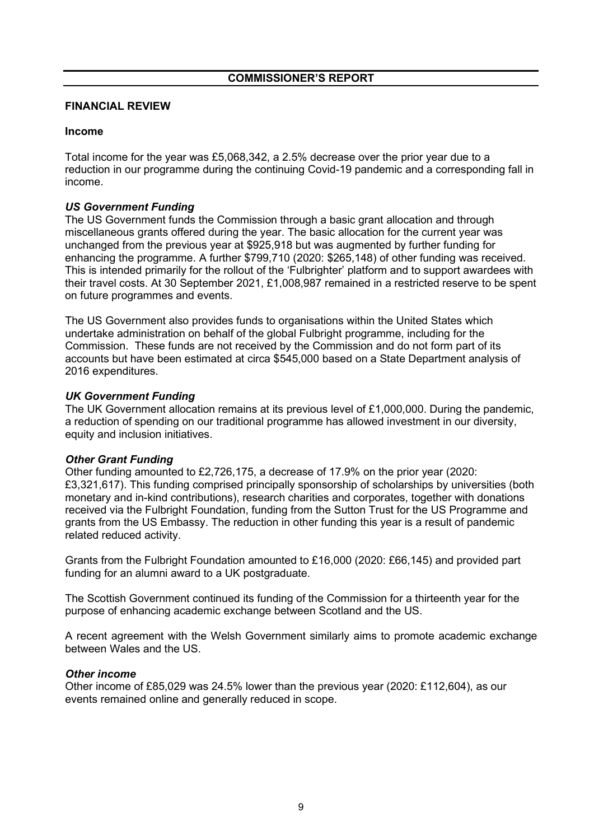# FINANCIAL REVIEW

# Income

Total income for the year was £5,068,342, a 2.5% decrease over the prior year due to a reduction in our programme during the continuing Covid-19 pandemic and a corresponding fall in income.

# *US Government Funding*

The US Government funds the Commission through a basic grant allocation and through miscellaneous grants offered during the year. The basic allocation for the current year was unchanged from the previous year at \$925,918 but was augmented by further funding for enhancing the programme. A further \$799,710 (2020: \$265,148) of other funding was received. This is intended primarily for the rollout of the 'Fulbrighter' platform and to support awardees with their travel costs. At 30 September 2021, £1,008,987 remained in a restricted reserve to be spent on future programmes and events.

The US Government also provides funds to organisations within the United States which undertake administration on behalf of the global Fulbright programme, including for the Commission. These funds are not received by the Commission and do not form part of its accounts but have been estimated at circa \$545,000 based on a State Department analysis of 2016 expenditures.

# *UK Government Funding*

The UK Government allocation remains at its previous level of £1,000,000. During the pandemic, a reduction of spending on our traditional programme has allowed investment in our diversity, equity and inclusion initiatives.

# *Other Grant Funding*

Other funding amounted to £2,726,175, a decrease of 17.9% on the prior year (2020: £3,321,617). This funding comprised principally sponsorship of scholarships by universities (both monetary and in-kind contributions), research charities and corporates, together with donations received via the Fulbright Foundation, funding from the Sutton Trust for the US Programme and grants from the US Embassy. The reduction in other funding this year is a result of pandemic related reduced activity.

Grants from the Fulbright Foundation amounted to £16,000 (2020: £66,145) and provided part funding for an alumni award to a UK postgraduate.

The Scottish Government continued its funding of the Commission for a thirteenth year for the purpose of enhancing academic exchange between Scotland and the US.

A recent agreement with the Welsh Government similarly aims to promote academic exchange between Wales and the US.

# *Other income*

Other income of £85,029 was 24.5% lower than the previous year (2020: £112,604), as our events remained online and generally reduced in scope.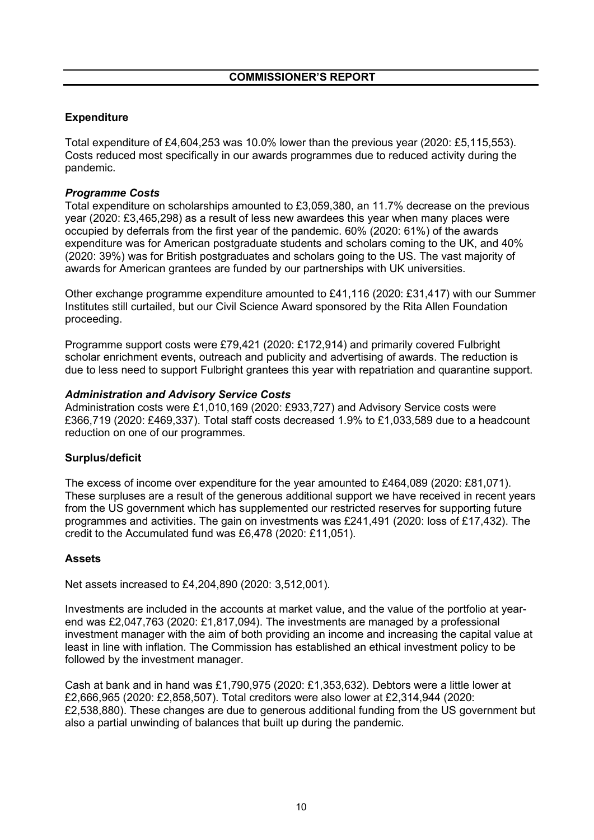# Expenditure

Total expenditure of £4,604,253 was 10.0% lower than the previous year (2020: £5,115,553). Costs reduced most specifically in our awards programmes due to reduced activity during the pandemic.

# *Programme Costs*

Total expenditure on scholarships amounted to £3,059,380, an 11.7% decrease on the previous year (2020: £3,465,298) as a result of less new awardees this year when many places were occupied by deferrals from the first year of the pandemic. 60% (2020: 61%) of the awards expenditure was for American postgraduate students and scholars coming to the UK, and 40% (2020: 39%) was for British postgraduates and scholars going to the US. The vast majority of awards for American grantees are funded by our partnerships with UK universities.

Other exchange programme expenditure amounted to £41,116 (2020: £31,417) with our Summer Institutes still curtailed, but our Civil Science Award sponsored by the Rita Allen Foundation proceeding.

Programme support costs were £79,421 (2020: £172,914) and primarily covered Fulbright scholar enrichment events, outreach and publicity and advertising of awards. The reduction is due to less need to support Fulbright grantees this year with repatriation and quarantine support.

# *Administration and Advisory Service Costs*

Administration costs were £1,010,169 (2020: £933,727) and Advisory Service costs were £366,719 (2020: £469,337). Total staff costs decreased 1.9% to £1,033,589 due to a headcount reduction on one of our programmes.

# Surplus/deficit

The excess of income over expenditure for the year amounted to £464,089 (2020: £81,071). These surpluses are a result of the generous additional support we have received in recent years from the US government which has supplemented our restricted reserves for supporting future programmes and activities. The gain on investments was £241,491 (2020: loss of £17,432). The credit to the Accumulated fund was £6,478 (2020: £11,051).

# **Assets**

Net assets increased to £4,204,890 (2020: 3,512,001).

Investments are included in the accounts at market value, and the value of the portfolio at yearend was £2,047,763 (2020: £1,817,094). The investments are managed by a professional investment manager with the aim of both providing an income and increasing the capital value at least in line with inflation. The Commission has established an ethical investment policy to be followed by the investment manager.

Cash at bank and in hand was £1,790,975 (2020: £1,353,632). Debtors were a little lower at £2,666,965 (2020: £2,858,507). Total creditors were also lower at £2,314,944 (2020: £2,538,880). These changes are due to generous additional funding from the US government but also a partial unwinding of balances that built up during the pandemic.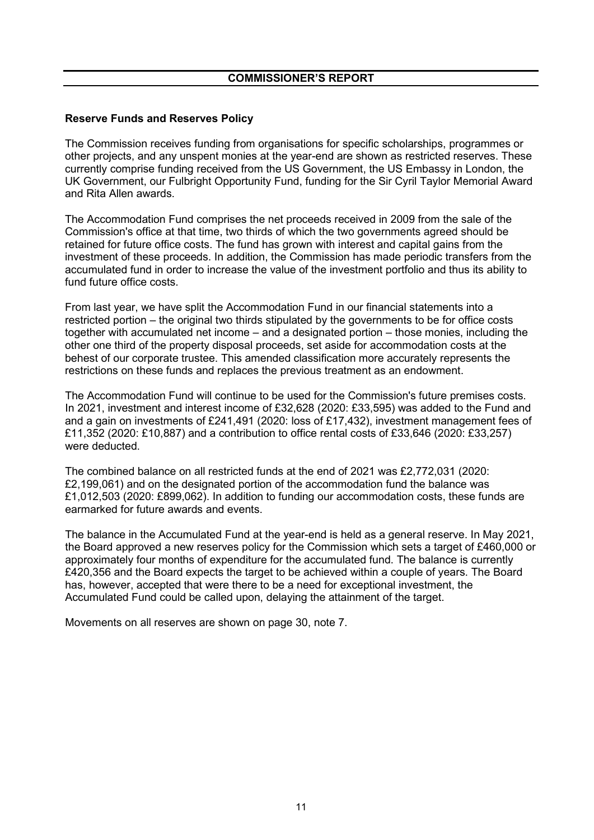# Reserve Funds and Reserves Policy

The Commission receives funding from organisations for specific scholarships, programmes or other projects, and any unspent monies at the year-end are shown as restricted reserves. These currently comprise funding received from the US Government, the US Embassy in London, the UK Government, our Fulbright Opportunity Fund, funding for the Sir Cyril Taylor Memorial Award and Rita Allen awards.

The Accommodation Fund comprises the net proceeds received in 2009 from the sale of the Commission's office at that time, two thirds of which the two governments agreed should be retained for future office costs. The fund has grown with interest and capital gains from the investment of these proceeds. In addition, the Commission has made periodic transfers from the accumulated fund in order to increase the value of the investment portfolio and thus its ability to fund future office costs.

From last year, we have split the Accommodation Fund in our financial statements into a restricted portion – the original two thirds stipulated by the governments to be for office costs together with accumulated net income – and a designated portion – those monies, including the other one third of the property disposal proceeds, set aside for accommodation costs at the behest of our corporate trustee. This amended classification more accurately represents the restrictions on these funds and replaces the previous treatment as an endowment.

The Accommodation Fund will continue to be used for the Commission's future premises costs. In 2021, investment and interest income of £32,628 (2020: £33,595) was added to the Fund and and a gain on investments of £241,491 (2020: loss of £17,432), investment management fees of £11,352 (2020: £10,887) and a contribution to office rental costs of £33,646 (2020: £33,257) were deducted.

The combined balance on all restricted funds at the end of 2021 was £2,772,031 (2020: £2,199,061) and on the designated portion of the accommodation fund the balance was £1,012,503 (2020: £899,062). In addition to funding our accommodation costs, these funds are earmarked for future awards and events.

The balance in the Accumulated Fund at the year-end is held as a general reserve. In May 2021, the Board approved a new reserves policy for the Commission which sets a target of £460,000 or approximately four months of expenditure for the accumulated fund. The balance is currently £420,356 and the Board expects the target to be achieved within a couple of years. The Board has, however, accepted that were there to be a need for exceptional investment, the Accumulated Fund could be called upon, delaying the attainment of the target.

Movements on all reserves are shown on page 30, note 7.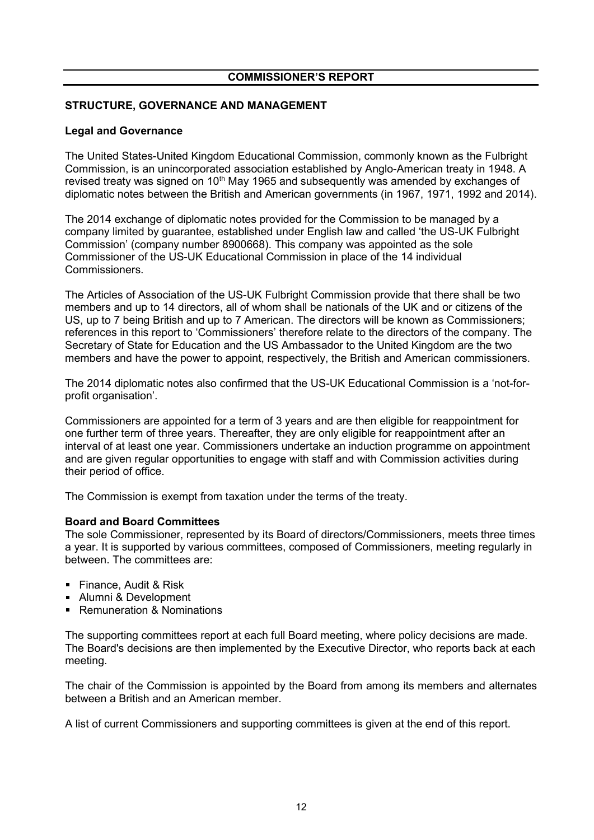# STRUCTURE, GOVERNANCE AND MANAGEMENT

# Legal and Governance

The United States-United Kingdom Educational Commission, commonly known as the Fulbright Commission, is an unincorporated association established by Anglo-American treaty in 1948. A revised treaty was signed on 10<sup>th</sup> May 1965 and subsequently was amended by exchanges of diplomatic notes between the British and American governments (in 1967, 1971, 1992 and 2014).

The 2014 exchange of diplomatic notes provided for the Commission to be managed by a company limited by guarantee, established under English law and called 'the US-UK Fulbright Commission' (company number 8900668). This company was appointed as the sole Commissioner of the US-UK Educational Commission in place of the 14 individual Commissioners.

The Articles of Association of the US-UK Fulbright Commission provide that there shall be two members and up to 14 directors, all of whom shall be nationals of the UK and or citizens of the US, up to 7 being British and up to 7 American. The directors will be known as Commissioners; references in this report to 'Commissioners' therefore relate to the directors of the company. The Secretary of State for Education and the US Ambassador to the United Kingdom are the two members and have the power to appoint, respectively, the British and American commissioners.

The 2014 diplomatic notes also confirmed that the US-UK Educational Commission is a 'not-forprofit organisation'.

Commissioners are appointed for a term of 3 years and are then eligible for reappointment for one further term of three years. Thereafter, they are only eligible for reappointment after an interval of at least one year. Commissioners undertake an induction programme on appointment and are given regular opportunities to engage with staff and with Commission activities during their period of office.

The Commission is exempt from taxation under the terms of the treaty.

# Board and Board Committees

The sole Commissioner, represented by its Board of directors/Commissioners, meets three times a year. It is supported by various committees, composed of Commissioners, meeting regularly in between. The committees are:

- **Finance, Audit & Risk**
- **Alumni & Development**
- **Remuneration & Nominations**

The supporting committees report at each full Board meeting, where policy decisions are made. The Board's decisions are then implemented by the Executive Director, who reports back at each meeting.

The chair of the Commission is appointed by the Board from among its members and alternates between a British and an American member.

A list of current Commissioners and supporting committees is given at the end of this report.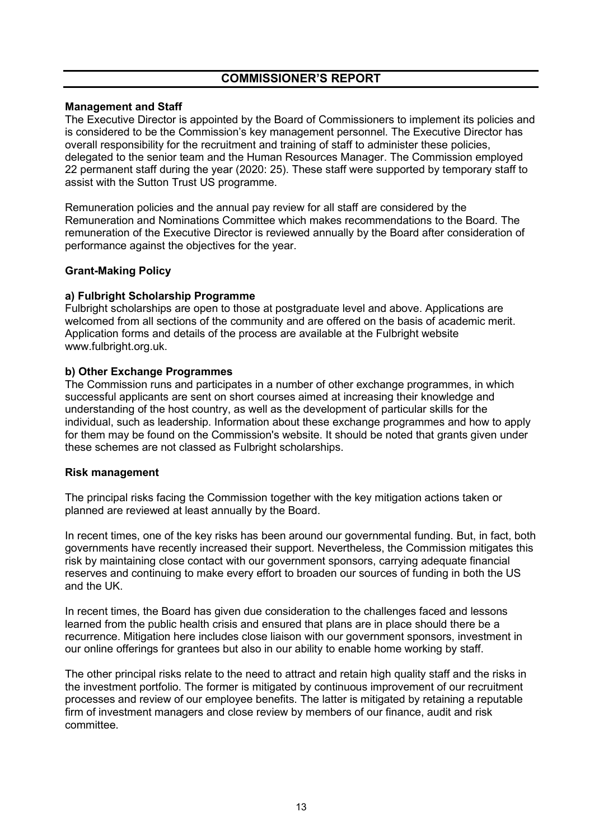# Management and Staff

The Executive Director is appointed by the Board of Commissioners to implement its policies and is considered to be the Commission's key management personnel. The Executive Director has overall responsibility for the recruitment and training of staff to administer these policies, delegated to the senior team and the Human Resources Manager. The Commission employed 22 permanent staff during the year (2020: 25). These staff were supported by temporary staff to assist with the Sutton Trust US programme.

Remuneration policies and the annual pay review for all staff are considered by the Remuneration and Nominations Committee which makes recommendations to the Board. The remuneration of the Executive Director is reviewed annually by the Board after consideration of performance against the objectives for the year.

# Grant-Making Policy

### a) Fulbright Scholarship Programme

Fulbright scholarships are open to those at postgraduate level and above. Applications are welcomed from all sections of the community and are offered on the basis of academic merit. Application forms and details of the process are available at the Fulbright website www.fulbright.org.uk.

### b) Other Exchange Programmes

The Commission runs and participates in a number of other exchange programmes, in which successful applicants are sent on short courses aimed at increasing their knowledge and understanding of the host country, as well as the development of particular skills for the individual, such as leadership. Information about these exchange programmes and how to apply for them may be found on the Commission's website. It should be noted that grants given under these schemes are not classed as Fulbright scholarships.

### Risk management

The principal risks facing the Commission together with the key mitigation actions taken or planned are reviewed at least annually by the Board.

In recent times, one of the key risks has been around our governmental funding. But, in fact, both governments have recently increased their support. Nevertheless, the Commission mitigates this risk by maintaining close contact with our government sponsors, carrying adequate financial reserves and continuing to make every effort to broaden our sources of funding in both the US and the UK.

In recent times, the Board has given due consideration to the challenges faced and lessons learned from the public health crisis and ensured that plans are in place should there be a recurrence. Mitigation here includes close liaison with our government sponsors, investment in our online offerings for grantees but also in our ability to enable home working by staff.

The other principal risks relate to the need to attract and retain high quality staff and the risks in the investment portfolio. The former is mitigated by continuous improvement of our recruitment processes and review of our employee benefits. The latter is mitigated by retaining a reputable firm of investment managers and close review by members of our finance, audit and risk committee.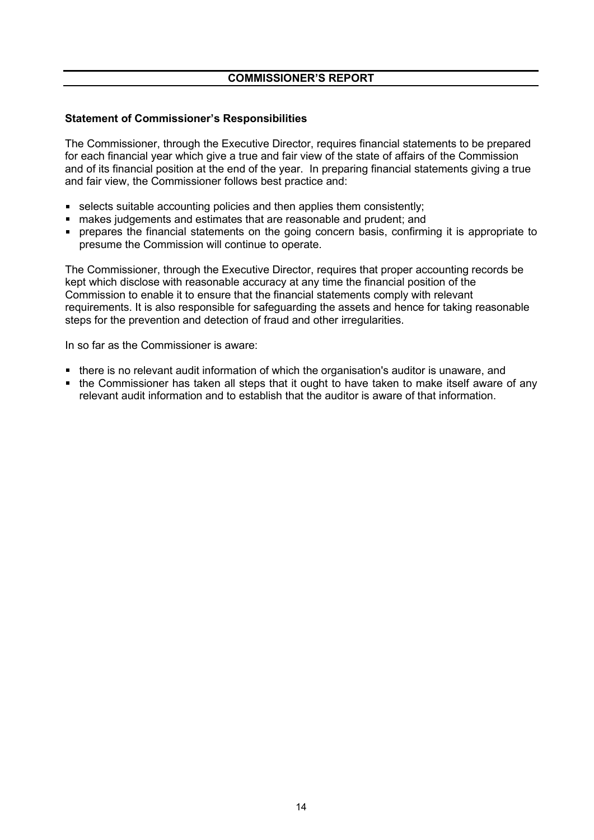# Statement of Commissioner's Responsibilities

The Commissioner, through the Executive Director, requires financial statements to be prepared for each financial year which give a true and fair view of the state of affairs of the Commission and of its financial position at the end of the year. In preparing financial statements giving a true and fair view, the Commissioner follows best practice and:

- $\blacksquare$  selects suitable accounting policies and then applies them consistently;
- makes judgements and estimates that are reasonable and prudent; and
- prepares the financial statements on the going concern basis, confirming it is appropriate to presume the Commission will continue to operate.

The Commissioner, through the Executive Director, requires that proper accounting records be kept which disclose with reasonable accuracy at any time the financial position of the Commission to enable it to ensure that the financial statements comply with relevant requirements. It is also responsible for safeguarding the assets and hence for taking reasonable steps for the prevention and detection of fraud and other irregularities.

In so far as the Commissioner is aware:

- there is no relevant audit information of which the organisation's auditor is unaware, and
- the Commissioner has taken all steps that it ought to have taken to make itself aware of any relevant audit information and to establish that the auditor is aware of that information.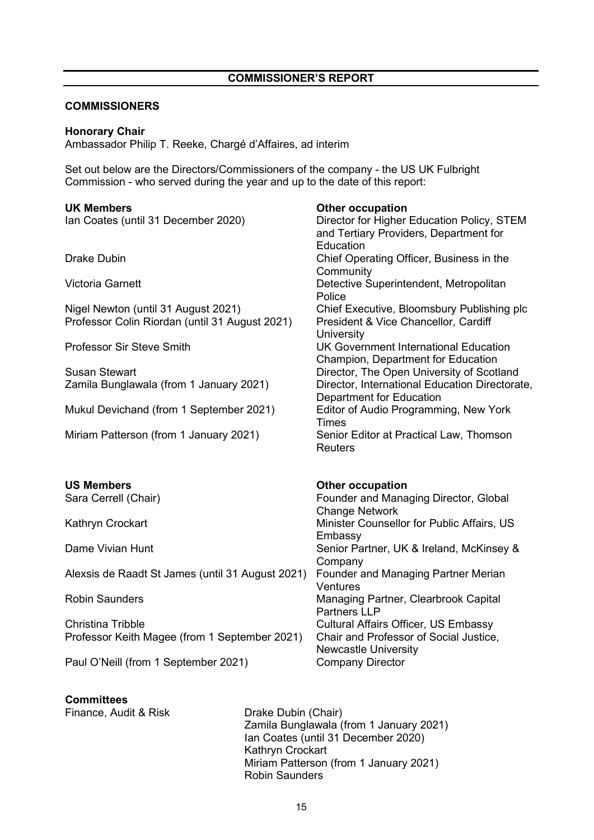# **COMMISSIONERS**

### Honorary Chair

Ambassador Philip T. Reeke, Chargé d'Affaires, ad interim

Set out below are the Directors/Commissioners of the company - the US UK Fulbright Commission - who served during the year and up to the date of this report:

| <b>UK Members</b>                                                                     | <b>Other occupation</b>                                                                                                 |
|---------------------------------------------------------------------------------------|-------------------------------------------------------------------------------------------------------------------------|
| Ian Coates (until 31 December 2020)                                                   | Director for Higher Education Policy, STEM<br>and Tertiary Providers, Department for<br>Education                       |
| <b>Drake Dubin</b>                                                                    | Chief Operating Officer, Business in the<br>Community                                                                   |
| <b>Victoria Garnett</b>                                                               | Detective Superintendent, Metropolitan<br>Police                                                                        |
| Nigel Newton (until 31 August 2021)<br>Professor Colin Riordan (until 31 August 2021) | Chief Executive, Bloomsbury Publishing plc<br>President & Vice Chancellor, Cardiff<br>University                        |
| <b>Professor Sir Steve Smith</b>                                                      | <b>UK Government International Education</b><br>Champion, Department for Education                                      |
| <b>Susan Stewart</b><br>Zamila Bunglawala (from 1 January 2021)                       | Director, The Open University of Scotland<br>Director, International Education Directorate,<br>Department for Education |
| Mukul Devichand (from 1 September 2021)                                               | Editor of Audio Programming, New York<br><b>Times</b>                                                                   |
| Miriam Patterson (from 1 January 2021)                                                | Senior Editor at Practical Law, Thomson<br><b>Reuters</b>                                                               |
| <b>US Members</b>                                                                     | <b>Other occupation</b>                                                                                                 |
| Sara Cerrell (Chair)                                                                  | Founder and Managing Director, Global<br><b>Change Network</b>                                                          |
| Kathryn Crockart                                                                      | Minister Counsellor for Public Affairs, US<br>Embassy                                                                   |
| Dame Vivian Hunt                                                                      | Senior Partner, UK & Ireland, McKinsey &<br>Company                                                                     |
| Alexsis de Raadt St James (until 31 August 2021)                                      | Founder and Managing Partner Merian<br>Ventures                                                                         |
| <b>Robin Saunders</b>                                                                 | Managing Partner, Clearbrook Capital<br><b>Partners LLP</b>                                                             |
| <b>Christina Tribble</b><br>Professor Keith Magee (from 1 September 2021)             | <b>Cultural Affairs Officer, US Embassy</b><br>Chair and Professor of Social Justice,                                   |
|                                                                                       | <b>Newcastle University</b>                                                                                             |
| Paul O'Neill (from 1 September 2021)                                                  | <b>Company Director</b>                                                                                                 |

# **Committees**

Finance, Audit & Risk Drake Dubin (Chair)

Zamila Bunglawala (from 1 January 2021) Ian Coates (until 31 December 2020) Kathryn Crockart Miriam Patterson (from 1 January 2021) Robin Saunders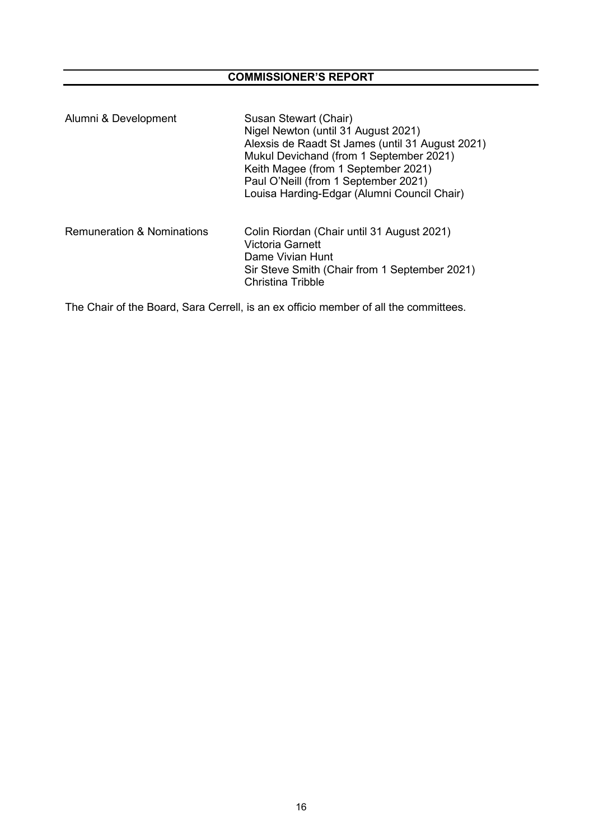| Alumni & Development       | Susan Stewart (Chair)<br>Nigel Newton (until 31 August 2021)<br>Alexsis de Raadt St James (until 31 August 2021)<br>Mukul Devichand (from 1 September 2021)<br>Keith Magee (from 1 September 2021)<br>Paul O'Neill (from 1 September 2021)<br>Louisa Harding-Edgar (Alumni Council Chair) |
|----------------------------|-------------------------------------------------------------------------------------------------------------------------------------------------------------------------------------------------------------------------------------------------------------------------------------------|
| Remuneration & Nominations | Colin Riordan (Chair until 31 August 2021)<br>Victoria Garnett<br>Dame Vivian Hunt<br>Sir Steve Smith (Chair from 1 September 2021)<br>Christina Tribble                                                                                                                                  |

The Chair of the Board, Sara Cerrell, is an ex officio member of all the committees.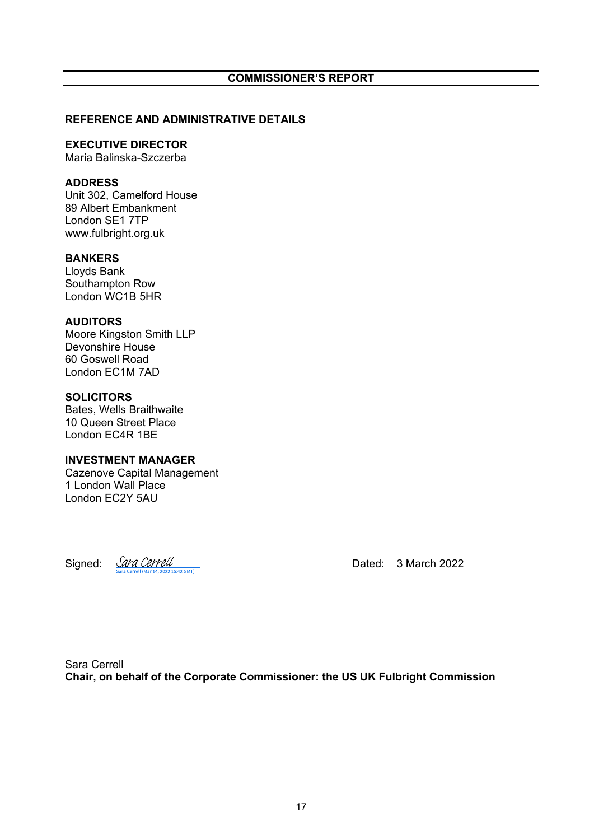### REFERENCE AND ADMINISTRATIVE DETAILS

### EXECUTIVE DIRECTOR

Maria Balinska-Szczerba

# ADDRESS

Unit 302, Camelford House 89 Albert Embankment London SE1 7TP www.fulbright.org.uk

# BANKERS

Lloyds Bank Southampton Row London WC1B 5HR

# AUDITORS

Moore Kingston Smith LLP Devonshire House 60 Goswell Road London EC1M 7AD

# **SOLICITORS**

Bates, Wells Braithwaite 10 Queen Street Place London EC4R 1BE

### INVESTMENT MANAGER

Cazenove Capital Management 1 London Wall Place London EC2Y 5AU

Signed:  $\frac{\text{GVA}}{\text{Sara Cercell (Mart 4, 2022 1542 GMD)}}$  Dated: 3 March 2022

Sara Cerrell Chair, on behalf of the Corporate Commissioner: the US UK Fulbright Commission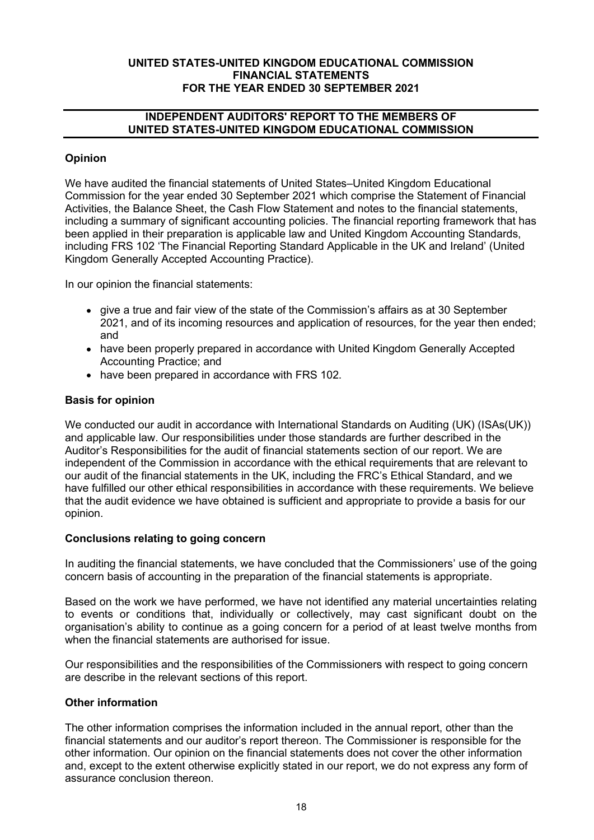# INDEPENDENT AUDITORS' REPORT TO THE MEMBERS OF UNITED STATES-UNITED KINGDOM EDUCATIONAL COMMISSION

# Opinion

We have audited the financial statements of United States–United Kingdom Educational Commission for the year ended 30 September 2021 which comprise the Statement of Financial Activities, the Balance Sheet, the Cash Flow Statement and notes to the financial statements, including a summary of significant accounting policies. The financial reporting framework that has been applied in their preparation is applicable law and United Kingdom Accounting Standards, including FRS 102 'The Financial Reporting Standard Applicable in the UK and Ireland' (United Kingdom Generally Accepted Accounting Practice).

In our opinion the financial statements:

- give a true and fair view of the state of the Commission's affairs as at 30 September 2021, and of its incoming resources and application of resources, for the year then ended; and
- have been properly prepared in accordance with United Kingdom Generally Accepted Accounting Practice; and
- have been prepared in accordance with FRS 102.

# Basis for opinion

We conducted our audit in accordance with International Standards on Auditing (UK) (ISAs(UK)) and applicable law. Our responsibilities under those standards are further described in the Auditor's Responsibilities for the audit of financial statements section of our report. We are independent of the Commission in accordance with the ethical requirements that are relevant to our audit of the financial statements in the UK, including the FRC's Ethical Standard, and we have fulfilled our other ethical responsibilities in accordance with these requirements. We believe that the audit evidence we have obtained is sufficient and appropriate to provide a basis for our opinion.

# Conclusions relating to going concern

In auditing the financial statements, we have concluded that the Commissioners' use of the going concern basis of accounting in the preparation of the financial statements is appropriate.

Based on the work we have performed, we have not identified any material uncertainties relating to events or conditions that, individually or collectively, may cast significant doubt on the organisation's ability to continue as a going concern for a period of at least twelve months from when the financial statements are authorised for issue.

Our responsibilities and the responsibilities of the Commissioners with respect to going concern are describe in the relevant sections of this report.

# Other information

The other information comprises the information included in the annual report, other than the financial statements and our auditor's report thereon. The Commissioner is responsible for the other information. Our opinion on the financial statements does not cover the other information and, except to the extent otherwise explicitly stated in our report, we do not express any form of assurance conclusion thereon.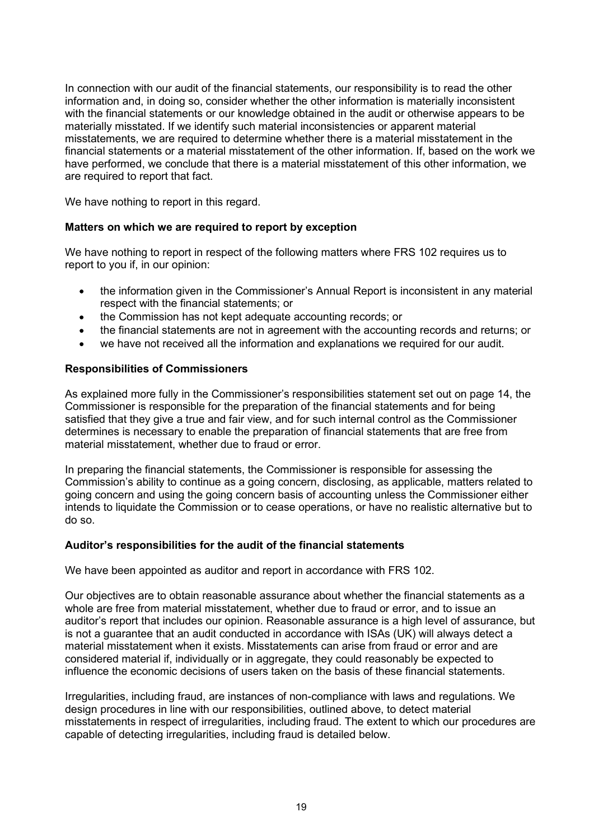In connection with our audit of the financial statements, our responsibility is to read the other information and, in doing so, consider whether the other information is materially inconsistent with the financial statements or our knowledge obtained in the audit or otherwise appears to be materially misstated. If we identify such material inconsistencies or apparent material misstatements, we are required to determine whether there is a material misstatement in the financial statements or a material misstatement of the other information. If, based on the work we have performed, we conclude that there is a material misstatement of this other information, we are required to report that fact.

We have nothing to report in this regard.

# Matters on which we are required to report by exception

We have nothing to report in respect of the following matters where FRS 102 requires us to report to you if, in our opinion:

- $\bullet$ the information given in the Commissioner's Annual Report is inconsistent in any material respect with the financial statements; or
- the Commission has not kept adequate accounting records; or
- the financial statements are not in agreement with the accounting records and returns; or
- we have not received all the information and explanations we required for our audit.

# Responsibilities of Commissioners

As explained more fully in the Commissioner's responsibilities statement set out on page 14, the Commissioner is responsible for the preparation of the financial statements and for being satisfied that they give a true and fair view, and for such internal control as the Commissioner determines is necessary to enable the preparation of financial statements that are free from material misstatement, whether due to fraud or error.

In preparing the financial statements, the Commissioner is responsible for assessing the Commission's ability to continue as a going concern, disclosing, as applicable, matters related to going concern and using the going concern basis of accounting unless the Commissioner either intends to liquidate the Commission or to cease operations, or have no realistic alternative but to do so.

### Auditor's responsibilities for the audit of the financial statements

We have been appointed as auditor and report in accordance with FRS 102.

Our objectives are to obtain reasonable assurance about whether the financial statements as a whole are free from material misstatement, whether due to fraud or error, and to issue an auditor's report that includes our opinion. Reasonable assurance is a high level of assurance, but is not a guarantee that an audit conducted in accordance with ISAs (UK) will always detect a material misstatement when it exists. Misstatements can arise from fraud or error and are considered material if, individually or in aggregate, they could reasonably be expected to influence the economic decisions of users taken on the basis of these financial statements.

Irregularities, including fraud, are instances of non-compliance with laws and regulations. We design procedures in line with our responsibilities, outlined above, to detect material misstatements in respect of irregularities, including fraud. The extent to which our procedures are capable of detecting irregularities, including fraud is detailed below.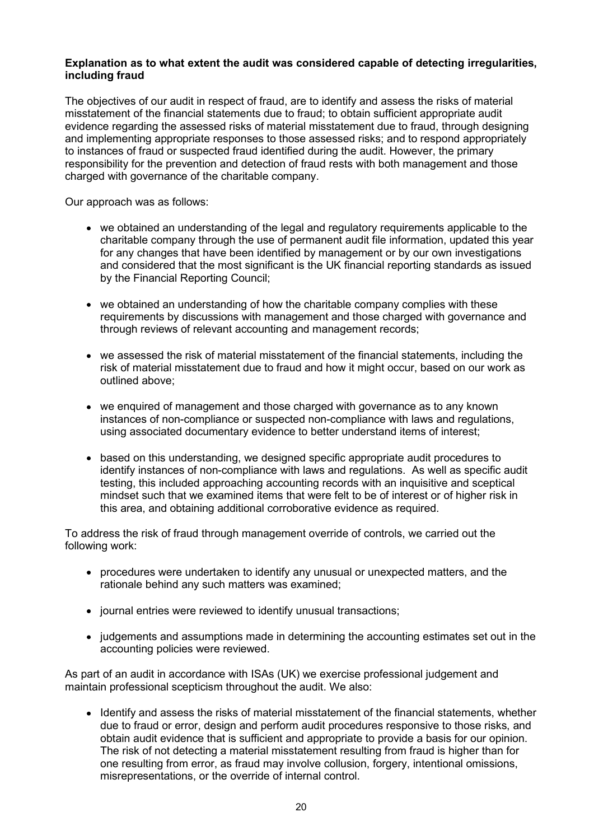# Explanation as to what extent the audit was considered capable of detecting irregularities, including fraud

The objectives of our audit in respect of fraud, are to identify and assess the risks of material misstatement of the financial statements due to fraud; to obtain sufficient appropriate audit evidence regarding the assessed risks of material misstatement due to fraud, through designing and implementing appropriate responses to those assessed risks; and to respond appropriately to instances of fraud or suspected fraud identified during the audit. However, the primary responsibility for the prevention and detection of fraud rests with both management and those charged with governance of the charitable company.

Our approach was as follows:

- we obtained an understanding of the legal and regulatory requirements applicable to the charitable company through the use of permanent audit file information, updated this year for any changes that have been identified by management or by our own investigations and considered that the most significant is the UK financial reporting standards as issued by the Financial Reporting Council;
- we obtained an understanding of how the charitable company complies with these requirements by discussions with management and those charged with governance and through reviews of relevant accounting and management records;
- we assessed the risk of material misstatement of the financial statements, including the risk of material misstatement due to fraud and how it might occur, based on our work as outlined above;
- we enquired of management and those charged with governance as to any known instances of non-compliance or suspected non-compliance with laws and regulations, using associated documentary evidence to better understand items of interest;
- based on this understanding, we designed specific appropriate audit procedures to identify instances of non-compliance with laws and regulations. As well as specific audit testing, this included approaching accounting records with an inquisitive and sceptical mindset such that we examined items that were felt to be of interest or of higher risk in this area, and obtaining additional corroborative evidence as required.

To address the risk of fraud through management override of controls, we carried out the following work:

- procedures were undertaken to identify any unusual or unexpected matters, and the rationale behind any such matters was examined;
- journal entries were reviewed to identify unusual transactions;
- judgements and assumptions made in determining the accounting estimates set out in the accounting policies were reviewed.

As part of an audit in accordance with ISAs (UK) we exercise professional judgement and maintain professional scepticism throughout the audit. We also:

• Identify and assess the risks of material misstatement of the financial statements, whether due to fraud or error, design and perform audit procedures responsive to those risks, and obtain audit evidence that is sufficient and appropriate to provide a basis for our opinion. The risk of not detecting a material misstatement resulting from fraud is higher than for one resulting from error, as fraud may involve collusion, forgery, intentional omissions, misrepresentations, or the override of internal control.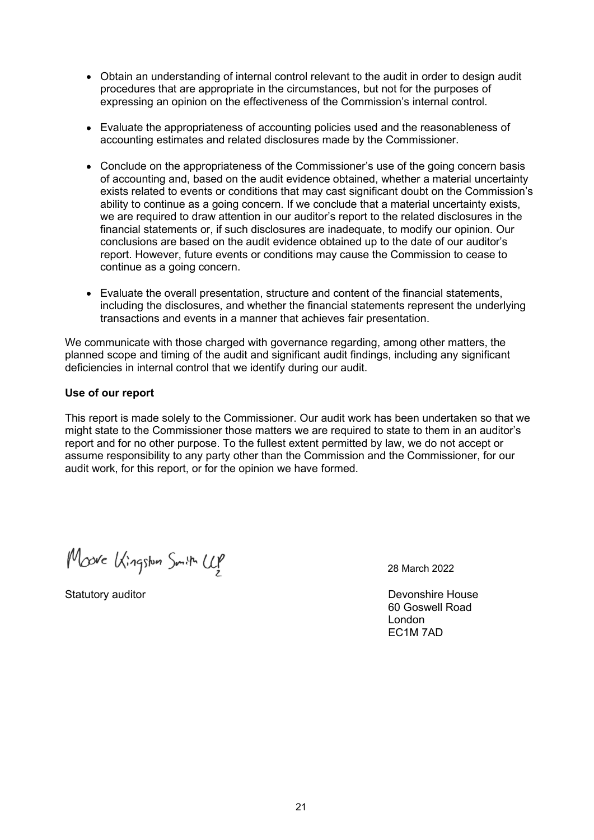- Obtain an understanding of internal control relevant to the audit in order to design audit procedures that are appropriate in the circumstances, but not for the purposes of expressing an opinion on the effectiveness of the Commission's internal control.
- Evaluate the appropriateness of accounting policies used and the reasonableness of accounting estimates and related disclosures made by the Commissioner.
- Conclude on the appropriateness of the Commissioner's use of the going concern basis of accounting and, based on the audit evidence obtained, whether a material uncertainty exists related to events or conditions that may cast significant doubt on the Commission's ability to continue as a going concern. If we conclude that a material uncertainty exists, we are required to draw attention in our auditor's report to the related disclosures in the financial statements or, if such disclosures are inadequate, to modify our opinion. Our conclusions are based on the audit evidence obtained up to the date of our auditor's report. However, future events or conditions may cause the Commission to cease to continue as a going concern.
- Evaluate the overall presentation, structure and content of the financial statements, including the disclosures, and whether the financial statements represent the underlying transactions and events in a manner that achieves fair presentation.

We communicate with those charged with governance regarding, among other matters, the planned scope and timing of the audit and significant audit findings, including any significant deficiencies in internal control that we identify during our audit.

### Use of our report

This report is made solely to the Commissioner. Our audit work has been undertaken so that we might state to the Commissioner those matters we are required to state to them in an auditor's report and for no other purpose. To the fullest extent permitted by law, we do not accept or assume responsibility to any party other than the Commission and the Commissioner, for our audit work, for this report, or for the opinion we have formed.

Moove Kingston Smith Up

28 March 2022

Statutory auditor **Devonshire House** 60 Goswell Road London EC1M 7AD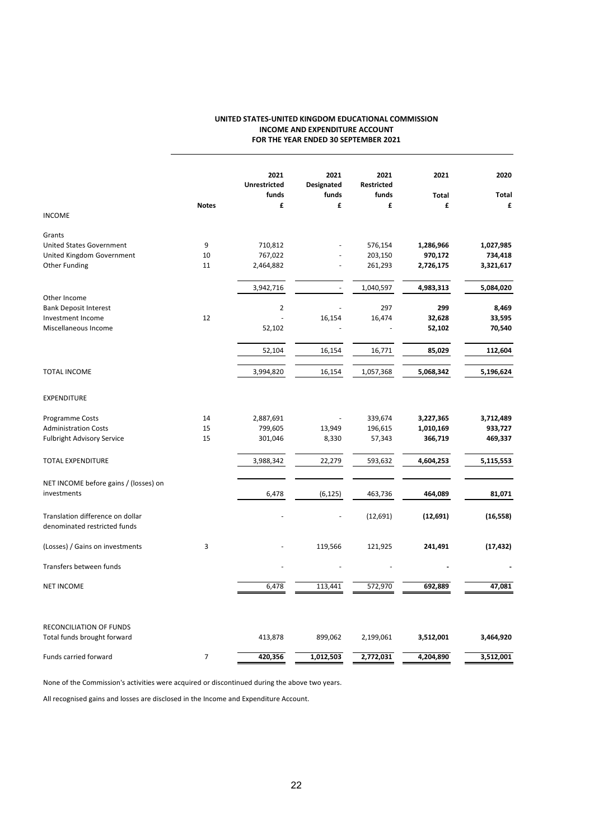### UNITED STATES-UNITED KINGDOM EDUCATIONAL COMMISSION INCOME AND EXPENDITURE ACCOUNT FOR THE YEAR ENDED 30 SEPTEMBER 2021

|                                                                  |                | 2021<br><b>Unrestricted</b> | 2021<br>Designated | 2021<br>Restricted | 2021         | 2020      |
|------------------------------------------------------------------|----------------|-----------------------------|--------------------|--------------------|--------------|-----------|
|                                                                  |                | funds                       | funds              | funds              | <b>Total</b> | Total     |
| <b>INCOME</b>                                                    | <b>Notes</b>   | £                           | £                  | £                  | £            | £         |
| Grants                                                           |                |                             |                    |                    |              |           |
| United States Government                                         | 9              | 710,812                     |                    | 576,154            | 1,286,966    | 1,027,985 |
| United Kingdom Government                                        | 10             | 767,022                     |                    | 203,150            | 970,172      | 734,418   |
| Other Funding                                                    | 11             | 2,464,882                   |                    | 261,293            | 2,726,175    | 3,321,617 |
|                                                                  |                | 3,942,716                   |                    | 1,040,597          | 4,983,313    | 5,084,020 |
| Other Income                                                     |                |                             |                    |                    |              |           |
| <b>Bank Deposit Interest</b>                                     |                | $\overline{2}$              |                    | 297                | 299          | 8,469     |
| Investment Income                                                | 12             |                             | 16,154             | 16,474             | 32,628       | 33,595    |
| Miscellaneous Income                                             |                | 52,102                      |                    |                    | 52,102       | 70,540    |
|                                                                  |                | 52,104                      | 16,154             | 16,771             | 85,029       | 112,604   |
| <b>TOTAL INCOME</b>                                              |                | 3,994,820                   | 16,154             | 1,057,368          | 5,068,342    | 5,196,624 |
| EXPENDITURE                                                      |                |                             |                    |                    |              |           |
| Programme Costs                                                  | 14             | 2,887,691                   |                    | 339,674            | 3,227,365    | 3,712,489 |
| <b>Administration Costs</b>                                      | 15             | 799,605                     | 13,949             | 196,615            | 1,010,169    | 933,727   |
| <b>Fulbright Advisory Service</b>                                | 15             | 301,046                     | 8,330              | 57,343             | 366,719      | 469,337   |
| TOTAL EXPENDITURE                                                |                | 3,988,342                   | 22,279             | 593,632            | 4,604,253    | 5,115,553 |
| NET INCOME before gains / (losses) on                            |                |                             |                    |                    |              |           |
| investments                                                      |                | 6,478                       | (6, 125)           | 463,736            | 464,089      | 81,071    |
| Translation difference on dollar<br>denominated restricted funds |                |                             |                    | (12, 691)          | (12, 691)    | (16, 558) |
| (Losses) / Gains on investments                                  | 3              |                             | 119,566            | 121,925            | 241,491      | (17, 432) |
| Transfers between funds                                          |                |                             |                    |                    |              |           |
| <b>NET INCOME</b>                                                |                | 6,478                       | 113,441            | 572,970            | 692,889      | 47,081    |
| RECONCILIATION OF FUNDS                                          |                |                             |                    |                    |              |           |
| Total funds brought forward                                      |                | 413,878                     | 899,062            | 2,199,061          | 3,512,001    | 3,464,920 |
| Funds carried forward                                            | $\overline{7}$ | 420,356                     | 1,012,503          | 2,772,031          | 4,204,890    | 3,512,001 |

None of the Commission's activities were acquired or discontinued during the above two years.

All recognised gains and losses are disclosed in the Income and Expenditure Account.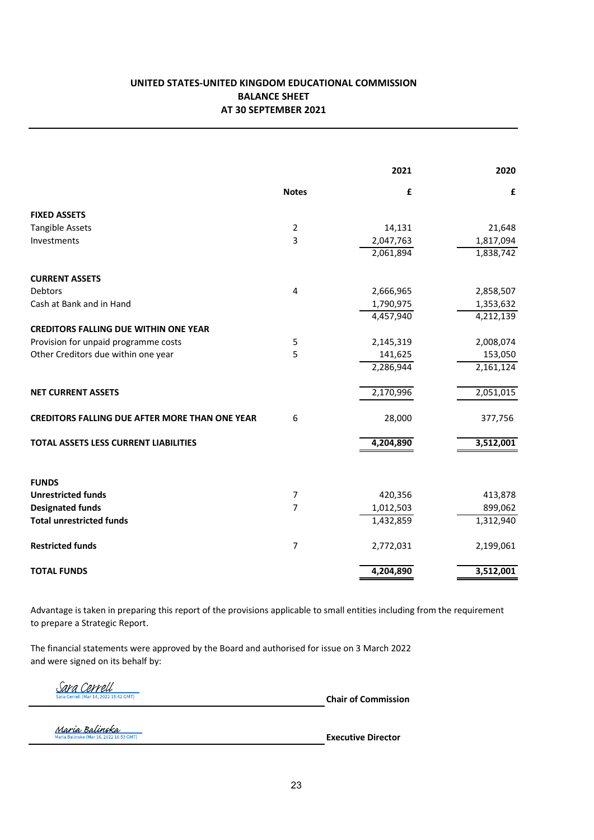# UNITED STATES-UNITED KINGDOM EDUCATIONAL COMMISSION BALANCE SHEET AT 30 SEPTEMBER 2021

|                                                            |                     | 2021      | 2020                 |
|------------------------------------------------------------|---------------------|-----------|----------------------|
|                                                            | <b>Notes</b>        | £         | £                    |
| <b>FIXED ASSETS</b>                                        |                     |           |                      |
| <b>Tangible Assets</b>                                     | $\overline{2}$      | 14,131    | 21,648               |
| Investments                                                | 3                   | 2,047,763 | 1,817,094            |
|                                                            |                     | 2,061,894 | 1,838,742            |
| <b>CURRENT ASSETS</b>                                      |                     |           |                      |
| <b>Debtors</b>                                             | $\overline{4}$      | 2,666,965 | 2,858,507            |
| Cash at Bank and in Hand                                   |                     | 1,790,975 | 1,353,632            |
|                                                            |                     | 4,457,940 | 4,212,139            |
| <b>CREDITORS FALLING DUE WITHIN ONE YEAR</b>               |                     |           |                      |
| Provision for unpaid programme costs                       | 5                   | 2,145,319 | 2,008,074            |
| Other Creditors due within one year                        | 5                   | 141,625   | 153,050              |
|                                                            |                     | 2,286,944 | 2,161,124            |
| <b>NET CURRENT ASSETS</b>                                  |                     | 2,170,996 | 2,051,015            |
| <b>CREDITORS FALLING DUE AFTER MORE THAN ONE YEAR</b>      | 6                   | 28,000    | 377,756              |
| <b>TOTAL ASSETS LESS CURRENT LIABILITIES</b>               |                     | 4,204,890 | 3,512,001            |
|                                                            |                     |           |                      |
| <b>FUNDS</b>                                               |                     |           |                      |
| <b>Unrestricted funds</b>                                  | 7<br>$\overline{7}$ | 420,356   | 413,878              |
| <b>Designated funds</b><br><b>Total unrestricted funds</b> |                     | 1,012,503 | 899,062<br>1,312,940 |
|                                                            |                     | 1,432,859 |                      |
| <b>Restricted funds</b>                                    | 7                   | 2,772,031 | 2,199,061            |
| <b>TOTAL FUNDS</b>                                         |                     | 4,204,890 | 3,512,001            |

Advantage is taken in preparing this report of the provisions applicable to small entities including from the requirement to prepare a Strategic Report.

The financial statements were approved by the Board and authorised for issue on 3 March 2022 and were signed on its behalf by:

Sara Cerrell 022 15:42 GMT)

Chair of Commission

María Balinska<br>Maria Balinska (Mar 16, 2022 16:53 GMT)

Executive Director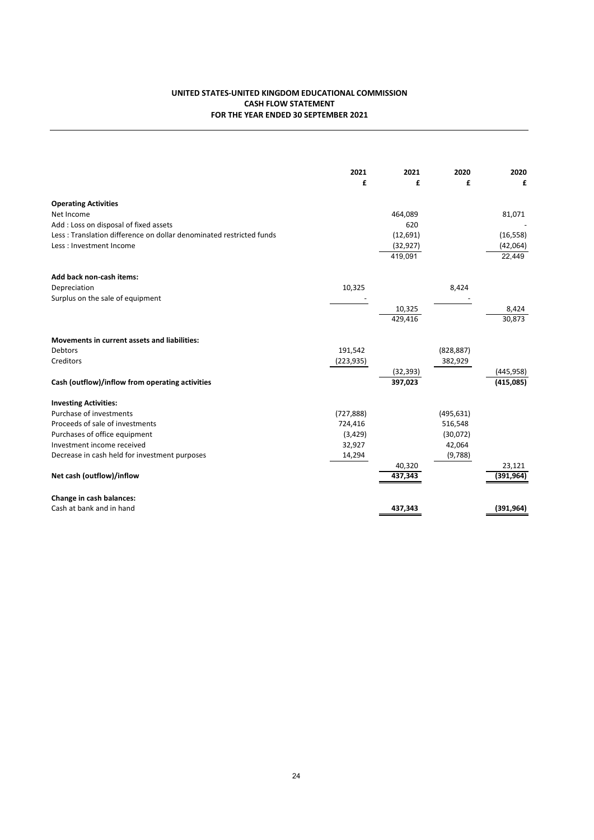### UNITED STATES-UNITED KINGDOM EDUCATIONAL COMMISSION CASH FLOW STATEMENT FOR THE YEAR ENDED 30 SEPTEMBER 2021

|                                                                     | 2021<br>£  | 2021<br>£         | 2020<br>£  | 2020<br>£            |
|---------------------------------------------------------------------|------------|-------------------|------------|----------------------|
| <b>Operating Activities</b>                                         |            |                   |            |                      |
| Net Income                                                          |            | 464,089           |            | 81,071               |
| Add: Loss on disposal of fixed assets                               |            | 620               |            |                      |
| Less: Translation difference on dollar denominated restricted funds |            | (12, 691)         |            | (16, 558)            |
| Less: Investment Income                                             |            | (32, 927)         |            | (42,064)             |
|                                                                     |            | 419,091           |            | 22,449               |
| Add back non-cash items:                                            |            |                   |            |                      |
| Depreciation                                                        | 10,325     |                   | 8,424      |                      |
| Surplus on the sale of equipment                                    |            |                   |            |                      |
|                                                                     |            | 10,325            |            | 8,424                |
|                                                                     |            | 429,416           |            | 30,873               |
| <b>Movements in current assets and liabilities:</b>                 |            |                   |            |                      |
| Debtors                                                             | 191,542    |                   | (828, 887) |                      |
| Creditors                                                           | (223, 935) |                   | 382,929    |                      |
|                                                                     |            | (32, 393)         |            | (445, 958)           |
| Cash (outflow)/inflow from operating activities                     |            | 397,023           |            | (415,085)            |
| <b>Investing Activities:</b>                                        |            |                   |            |                      |
| Purchase of investments                                             | (727, 888) |                   | (495, 631) |                      |
| Proceeds of sale of investments                                     | 724,416    |                   | 516,548    |                      |
| Purchases of office equipment                                       | (3, 429)   |                   | (30,072)   |                      |
| Investment income received                                          | 32,927     |                   | 42,064     |                      |
| Decrease in cash held for investment purposes                       | 14,294     |                   | (9,788)    |                      |
| Net cash (outflow)/inflow                                           |            | 40,320<br>437,343 |            | 23,121<br>(391, 964) |
| Change in cash balances:                                            |            |                   |            |                      |
| Cash at bank and in hand                                            |            | 437,343           |            | (391, 964)           |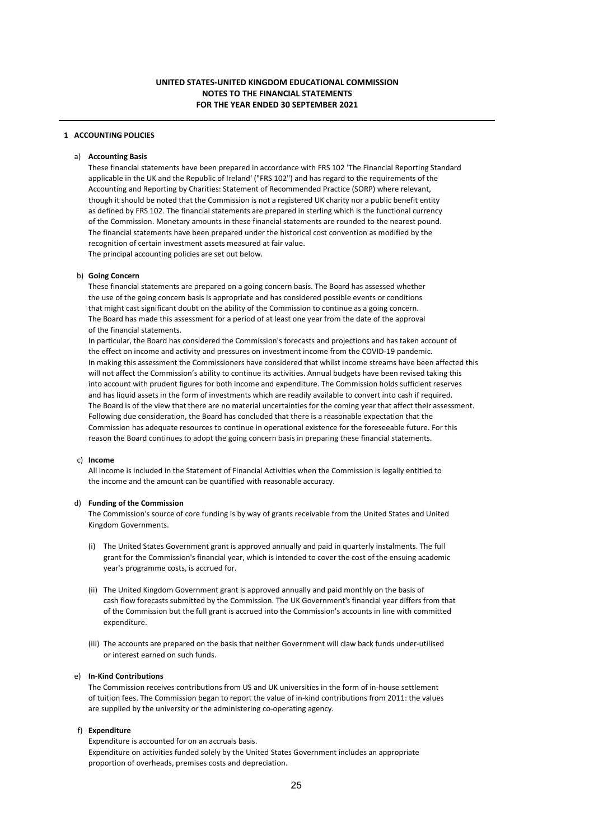### 1 ACCOUNTING POLICIES

### a) Accounting Basis

These financial statements have been prepared in accordance with FRS 102 'The Financial Reporting Standard applicable in the UK and the Republic of Ireland' ("FRS 102") and has regard to the requirements of the Accounting and Reporting by Charities: Statement of Recommended Practice (SORP) where relevant, though it should be noted that the Commission is not a registered UK charity nor a public benefit entity as defined by FRS 102. The financial statements are prepared in sterling which is the functional currency of the Commission. Monetary amounts in these financial statements are rounded to the nearest pound. The financial statements have been prepared under the historical cost convention as modified by the recognition of certain investment assets measured at fair value. The principal accounting policies are set out below.

#### b) Going Concern

These financial statements are prepared on a going concern basis. The Board has assessed whether the use of the going concern basis is appropriate and has considered possible events or conditions that might cast significant doubt on the ability of the Commission to continue as a going concern. The Board has made this assessment for a period of at least one year from the date of the approval of the financial statements.

In particular, the Board has considered the Commission's forecasts and projections and has taken account of the effect on income and activity and pressures on investment income from the COVID-19 pandemic. In making this assessment the Commissioners have considered that whilst income streams have been affected this will not affect the Commission's ability to continue its activities. Annual budgets have been revised taking this into account with prudent figures for both income and expenditure. The Commission holds sufficient reserves and has liquid assets in the form of investments which are readily available to convert into cash if required. The Board is of the view that there are no material uncertainties for the coming year that affect their assessment. Following due consideration, the Board has concluded that there is a reasonable expectation that the Commission has adequate resources to continue in operational existence for the foreseeable future. For this reason the Board continues to adopt the going concern basis in preparing these financial statements.

#### c) Income

All income is included in the Statement of Financial Activities when the Commission is legally entitled to the income and the amount can be quantified with reasonable accuracy.

#### d) Funding of the Commission

The Commission's source of core funding is by way of grants receivable from the United States and United Kingdom Governments.

- (i) The United States Government grant is approved annually and paid in quarterly instalments. The full grant for the Commission's financial year, which is intended to cover the cost of the ensuing academic year's programme costs, is accrued for.
- (ii) The United Kingdom Government grant is approved annually and paid monthly on the basis of cash flow forecasts submitted by the Commission. The UK Government's financial year differs from that of the Commission but the full grant is accrued into the Commission's accounts in line with committed expenditure.
- (iii) The accounts are prepared on the basis that neither Government will claw back funds under-utilised or interest earned on such funds.

#### e) In-Kind Contributions

The Commission receives contributions from US and UK universities in the form of in-house settlement of tuition fees. The Commission began to report the value of in-kind contributions from 2011: the values are supplied by the university or the administering co-operating agency.

#### f) Expenditure

Expenditure is accounted for on an accruals basis. Expenditure on activities funded solely by the United States Government includes an appropriate proportion of overheads, premises costs and depreciation.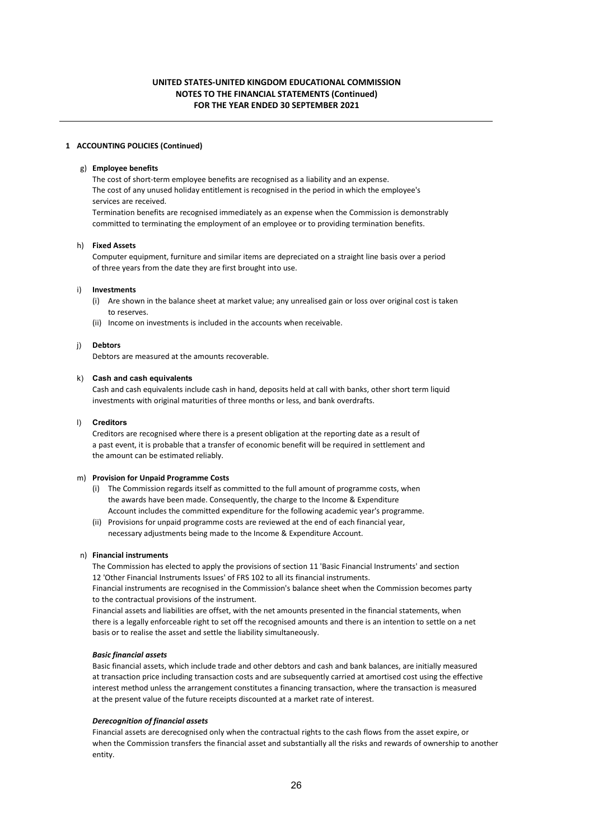#### 1 ACCOUNTING POLICIES (Continued)

### g) Employee benefits

The cost of short-term employee benefits are recognised as a liability and an expense. The cost of any unused holiday entitlement is recognised in the period in which the employee's services are received. Termination benefits are recognised immediately as an expense when the Commission is demonstrably

# committed to terminating the employment of an employee or to providing termination benefits.

### h) Fixed Assets

Computer equipment, furniture and similar items are depreciated on a straight line basis over a period of three years from the date they are first brought into use.

#### i) Investments

- (i) Are shown in the balance sheet at market value; any unrealised gain or loss over original cost is taken to reserves.
- (ii) Income on investments is included in the accounts when receivable.

### j) Debtors

Debtors are measured at the amounts recoverable.

#### k) Cash and cash equivalents

Cash and cash equivalents include cash in hand, deposits held at call with banks, other short term liquid investments with original maturities of three months or less, and bank overdrafts.

#### l) Creditors

Creditors are recognised where there is a present obligation at the reporting date as a result of a past event, it is probable that a transfer of economic benefit will be required in settlement and the amount can be estimated reliably.

#### m) Provision for Unpaid Programme Costs

- (i) The Commission regards itself as committed to the full amount of programme costs, when the awards have been made. Consequently, the charge to the Income & Expenditure Account includes the committed expenditure for the following academic year's programme.
- (ii) Provisions for unpaid programme costs are reviewed at the end of each financial year, necessary adjustments being made to the Income & Expenditure Account.

#### n) Financial instruments

The Commission has elected to apply the provisions of section 11 'Basic Financial Instruments' and section 12 'Other Financial Instruments Issues' of FRS 102 to all its financial instruments.

Financial instruments are recognised in the Commission's balance sheet when the Commission becomes party to the contractual provisions of the instrument.

Financial assets and liabilities are offset, with the net amounts presented in the financial statements, when there is a legally enforceable right to set off the recognised amounts and there is an intention to settle on a net basis or to realise the asset and settle the liability simultaneously.

#### *Basic financial assets*

Basic financial assets, which include trade and other debtors and cash and bank balances, are initially measured at transaction price including transaction costs and are subsequently carried at amortised cost using the effective interest method unless the arrangement constitutes a financing transaction, where the transaction is measured at the present value of the future receipts discounted at a market rate of interest.

#### *Derecognition of financial assets*

Financial assets are derecognised only when the contractual rights to the cash flows from the asset expire, or when the Commission transfers the financial asset and substantially all the risks and rewards of ownership to another entity.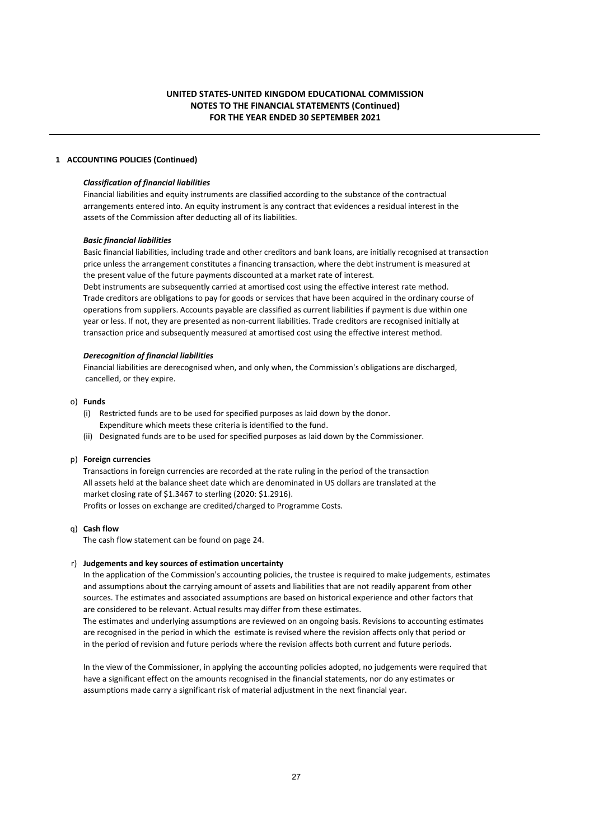### 1 ACCOUNTING POLICIES (Continued)

### *Classification of financial liabilities*

Financial liabilities and equity instruments are classified according to the substance of the contractual arrangements entered into. An equity instrument is any contract that evidences a residual interest in the assets of the Commission after deducting all of its liabilities.

#### *Basic financial liabilities*

Basic financial liabilities, including trade and other creditors and bank loans, are initially recognised at transaction price unless the arrangement constitutes a financing transaction, where the debt instrument is measured at the present value of the future payments discounted at a market rate of interest.

Debt instruments are subsequently carried at amortised cost using the effective interest rate method. Trade creditors are obligations to pay for goods or services that have been acquired in the ordinary course of operations from suppliers. Accounts payable are classified as current liabilities if payment is due within one year or less. If not, they are presented as non-current liabilities. Trade creditors are recognised initially at transaction price and subsequently measured at amortised cost using the effective interest method.

#### *Derecognition of financial liabilities*

Financial liabilities are derecognised when, and only when, the Commission's obligations are discharged, cancelled, or they expire.

### o) Funds

- (i) Restricted funds are to be used for specified purposes as laid down by the donor. Expenditure which meets these criteria is identified to the fund.
- (ii) Designated funds are to be used for specified purposes as laid down by the Commissioner.

#### p) Foreign currencies

Transactions in foreign currencies are recorded at the rate ruling in the period of the transaction All assets held at the balance sheet date which are denominated in US dollars are translated at the market closing rate of \$1.3467 to sterling (2020: \$1.2916). Profits or losses on exchange are credited/charged to Programme Costs.

### q) Cash flow

The cash flow statement can be found on page 24.

### r) Judgements and key sources of estimation uncertainty

In the application of the Commission's accounting policies, the trustee is required to make judgements, estimates and assumptions about the carrying amount of assets and liabilities that are not readily apparent from other sources. The estimates and associated assumptions are based on historical experience and other factors that are considered to be relevant. Actual results may differ from these estimates.

The estimates and underlying assumptions are reviewed on an ongoing basis. Revisions to accounting estimates are recognised in the period in which the estimate is revised where the revision affects only that period or in the period of revision and future periods where the revision affects both current and future periods.

In the view of the Commissioner, in applying the accounting policies adopted, no judgements were required that have a significant effect on the amounts recognised in the financial statements, nor do any estimates or assumptions made carry a significant risk of material adjustment in the next financial year.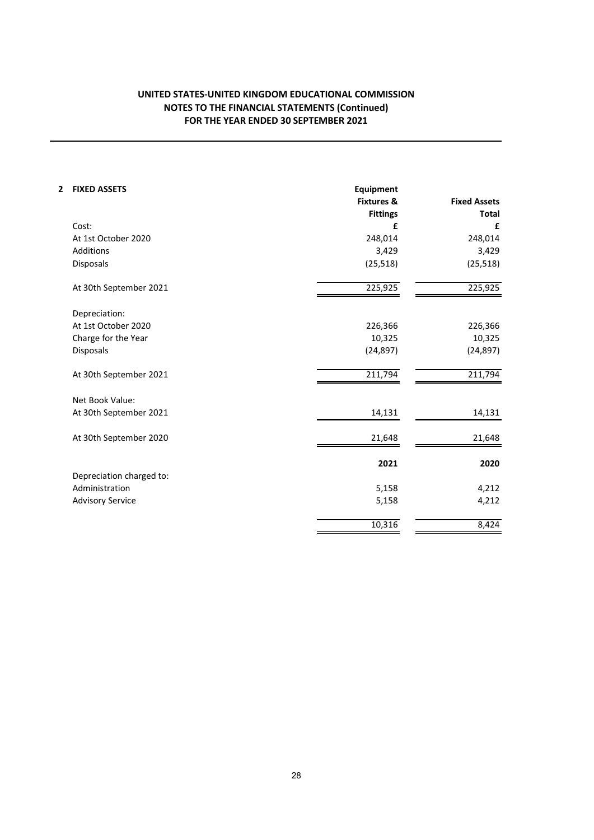# FOR THE YEAR ENDED 30 SEPTEMBER 2021 NOTES TO THE FINANCIAL STATEMENTS (Continued) UNITED STATES-UNITED KINGDOM EDUCATIONAL COMMISSION

| 2<br><b>FIXED ASSETS</b> | <b>Equipment</b>      |                     |
|--------------------------|-----------------------|---------------------|
|                          | <b>Fixtures &amp;</b> | <b>Fixed Assets</b> |
|                          | <b>Fittings</b>       | Total               |
| Cost:                    | £                     | £                   |
| At 1st October 2020      | 248,014               | 248,014             |
| Additions                | 3,429                 | 3,429               |
| Disposals                | (25, 518)             | (25, 518)           |
| At 30th September 2021   | 225,925               | 225,925             |
| Depreciation:            |                       |                     |
| At 1st October 2020      | 226,366               | 226,366             |
| Charge for the Year      | 10,325                | 10,325              |
| Disposals                | (24, 897)             | (24, 897)           |
| At 30th September 2021   | 211,794               | 211,794             |
| Net Book Value:          |                       |                     |
| At 30th September 2021   | 14,131                | 14,131              |
| At 30th September 2020   | 21,648                | 21,648              |
|                          | 2021                  | 2020                |
| Depreciation charged to: |                       |                     |
| Administration           | 5,158                 | 4,212               |
| <b>Advisory Service</b>  | 5,158                 | 4,212               |
|                          | 10,316                | 8,424               |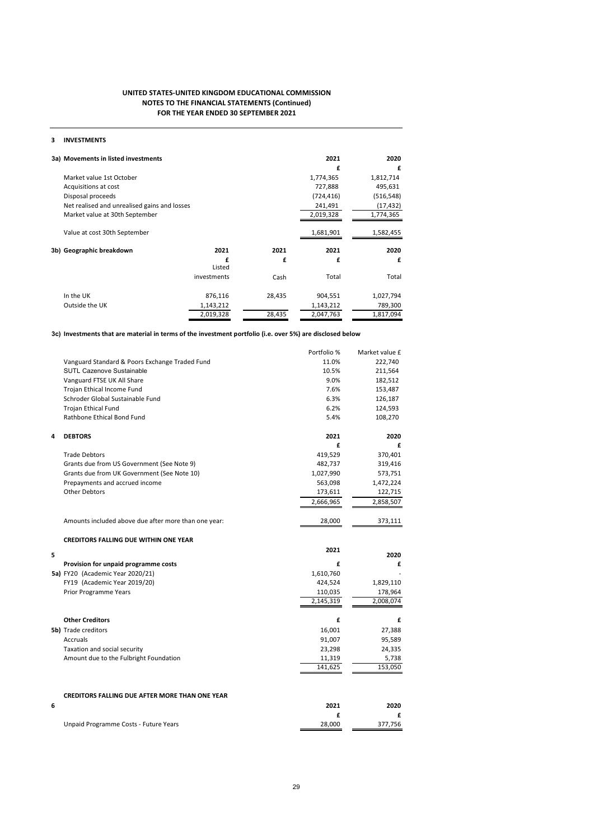#### FOR THE YEAR ENDED 30 SEPTEMBER 2021 UNITED STATES-UNITED KINGDOM EDUCATIONAL COMMISSION NOTES TO THE FINANCIAL STATEMENTS (Continued)

### 3 INVESTMENTS

| 3a) Movements in listed investments          |             |        | 2021       | 2020       |
|----------------------------------------------|-------------|--------|------------|------------|
|                                              |             |        | £          | £          |
| Market value 1st October                     |             |        | 1,774,365  | 1,812,714  |
| Acquisitions at cost                         |             |        | 727,888    | 495,631    |
| Disposal proceeds                            |             |        | (724, 416) | (516, 548) |
| Net realised and unrealised gains and losses |             |        | 241,491    | (17, 432)  |
| Market value at 30th September               |             |        | 2,019,328  | 1,774,365  |
|                                              |             |        |            |            |
| Value at cost 30th September                 |             |        | 1,681,901  | 1,582,455  |
|                                              |             |        |            |            |
| 3b) Geographic breakdown                     | 2021        | 2021   | 2021       | 2020       |
|                                              | f           | £      | £          | £          |
|                                              | Listed      |        |            |            |
|                                              | investments | Cash   | Total      | Total      |
| In the UK                                    | 876,116     | 28,435 | 904,551    | 1,027,794  |
| Outside the UK                               | 1,143,212   |        | 1,143,212  | 789,300    |
|                                              | 2,019,328   | 28,435 | 2,047,763  | 1,817,094  |

3c) Investments that are material in terms of the investment portfolio (i.e. over 5%) are disclosed below

|   |                                                       | Portfolio % | Market value £ |
|---|-------------------------------------------------------|-------------|----------------|
|   | Vanguard Standard & Poors Exchange Traded Fund        | 11.0%       | 222,740        |
|   | <b>SUTL Cazenove Sustainable</b>                      | 10.5%       | 211,564        |
|   | Vanguard FTSE UK All Share                            | 9.0%        | 182,512        |
|   | Trojan Ethical Income Fund                            | 7.6%        | 153,487        |
|   | Schroder Global Sustainable Fund                      | 6.3%        | 126,187        |
|   | <b>Trojan Ethical Fund</b>                            | 6.2%        | 124,593        |
|   | Rathbone Ethical Bond Fund                            | 5.4%        | 108,270        |
| 4 | <b>DEBTORS</b>                                        | 2021        | 2020           |
|   |                                                       | £           | £              |
|   | <b>Trade Debtors</b>                                  | 419,529     | 370,401        |
|   | Grants due from US Government (See Note 9)            | 482,737     | 319,416        |
|   | Grants due from UK Government (See Note 10)           | 1,027,990   | 573,751        |
|   | Prepayments and accrued income                        | 563,098     | 1,472,224      |
|   | <b>Other Debtors</b>                                  | 173,611     | 122,715        |
|   |                                                       | 2,666,965   | 2,858,507      |
|   | Amounts included above due after more than one year:  | 28,000      | 373,111        |
|   | <b>CREDITORS FALLING DUE WITHIN ONE YEAR</b>          |             |                |
| 5 |                                                       | 2021        | 2020           |
|   | Provision for unpaid programme costs                  | £           | £              |
|   | 5a) FY20 (Academic Year 2020/21)                      | 1,610,760   |                |
|   | FY19 (Academic Year 2019/20)                          | 424,524     | 1,829,110      |
|   | <b>Prior Programme Years</b>                          | 110,035     | 178,964        |
|   |                                                       | 2,145,319   | 2,008,074      |
|   | <b>Other Creditors</b>                                | £           | £              |
|   | <b>5b)</b> Trade creditors                            | 16,001      | 27,388         |
|   | Accruals                                              | 91,007      | 95,589         |
|   | Taxation and social security                          | 23,298      | 24,335         |
|   | Amount due to the Fulbright Foundation                | 11,319      | 5,738          |
|   |                                                       | 141,625     | 153,050        |
|   |                                                       |             |                |
|   |                                                       |             |                |
|   | <b>CREDITORS FALLING DUE AFTER MORE THAN ONE YEAR</b> |             |                |
| 6 |                                                       | 2021        | 2020           |
|   | Unpaid Programme Costs - Future Years                 | £<br>28,000 | £<br>377,756   |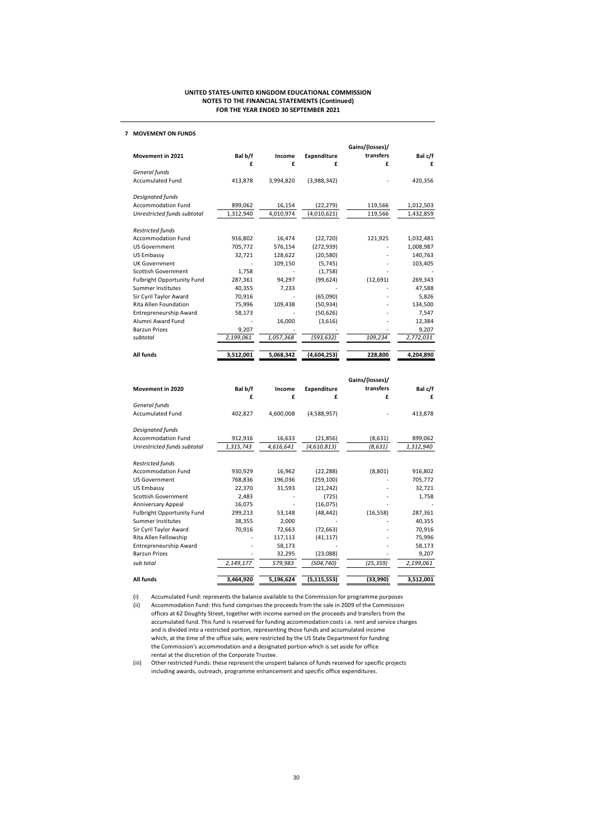#### 7 MOVEMENT ON FUNDS

|                               |           |           |                    | Gains/(losses)/ |           |
|-------------------------------|-----------|-----------|--------------------|-----------------|-----------|
| Movement in 2021              | Bal b/f   | Income    | <b>Expenditure</b> | transfers       | Bal c/f   |
|                               | £         | £         | £                  | £               | £         |
| General funds                 |           |           |                    |                 |           |
| <b>Accumulated Fund</b>       | 413,878   | 3,994,820 | (3,988,342)        |                 | 420,356   |
| Designated funds              |           |           |                    |                 |           |
| <b>Accommodation Fund</b>     | 899,062   | 16,154    | (22, 279)          | 119,566         | 1,012,503 |
| Unrestricted funds subtotal   | 1,312,940 | 4,010,974 | (4,010,621)        | 119,566         | 1,432,859 |
| <b>Restricted funds</b>       |           |           |                    |                 |           |
| <b>Accommodation Fund</b>     | 916,802   | 16,474    | (22, 720)          | 121,925         | 1,032,481 |
| <b>US Government</b>          | 705,772   | 576,154   | (272, 939)         |                 | 1,008,987 |
| US Embassy                    | 32,721    | 128,622   | (20, 580)          |                 | 140,763   |
| <b>UK Government</b>          |           | 109,150   | (5,745)            |                 | 103,405   |
| Scottish Government           | 1,758     |           | (1,758)            |                 |           |
| Fulbright Opportunity Fund    | 287,361   | 94,297    | (99, 624)          | (12, 691)       | 269,343   |
| <b>Summer Institutes</b>      | 40,355    | 7,233     |                    |                 | 47,588    |
| Sir Cyril Taylor Award        | 70,916    |           | (65,090)           |                 | 5,826     |
| Rita Allen Foundation         | 75,996    | 109,438   | (50, 934)          |                 | 134,500   |
| <b>Entrepreneurship Award</b> | 58,173    |           | (50, 626)          |                 | 7,547     |
| Alumni Award Fund             |           | 16,000    | (3,616)            |                 | 12,384    |
| <b>Barzun Prizes</b>          | 9,207     |           |                    |                 | 9,207     |
| subtotal                      | 2,199,061 | 1,057,368 | (593, 632)         | 109,234         | 2,772,031 |
| All funds                     | 3,512,001 | 5,068,342 | (4,604,253)        | 228,800         | 4,204,890 |

|                             |           |           |               | Gains/(losses)/ |           |
|-----------------------------|-----------|-----------|---------------|-----------------|-----------|
| Movement in 2020            | Bal b/f   | Income    | Expenditure   | transfers       | Bal c/f   |
|                             | £         | £         | £             | £               | £         |
| General funds               |           |           |               |                 |           |
| <b>Accumulated Fund</b>     | 402,827   | 4,600,008 | (4,588,957)   |                 | 413,878   |
| Designated funds            |           |           |               |                 |           |
| <b>Accommodation Fund</b>   | 912,916   | 16,633    | (21, 856)     | (8,631)         | 899,062   |
| Unrestricted funds subtotal | 1,315,743 | 4,616,641 | (4,610,813)   | (8,631)         | 1,312,940 |
| <b>Restricted funds</b>     |           |           |               |                 |           |
| <b>Accommodation Fund</b>   | 930,929   | 16,962    | (22, 288)     | (8,801)         | 916,802   |
| <b>US Government</b>        | 768,836   | 196,036   | (259, 100)    |                 | 705,772   |
| US Embassy                  | 22,370    | 31,593    | (21, 242)     |                 | 32,721    |
| <b>Scottish Government</b>  | 2,483     |           | (725)         |                 | 1,758     |
| Anniversary Appeal          | 16,075    |           | (16, 075)     |                 |           |
| Fulbright Opportunity Fund  | 299,213   | 53,148    | (48, 442)     | (16, 558)       | 287,361   |
| Summer Institutes           | 38,355    | 2,000     |               |                 | 40,355    |
| Sir Cyril Taylor Award      | 70,916    | 72,663    | (72, 663)     |                 | 70,916    |
| Rita Allen Fellowship       |           | 117,113   | (41, 117)     |                 | 75,996    |
| Entrepreneurship Award      |           | 58,173    |               |                 | 58,173    |
| <b>Barzun Prizes</b>        |           | 32,295    | (23,088)      |                 | 9,207     |
| sub total                   | 2,149,177 | 579,983   | (504,740)     | (25, 359)       | 2,199,061 |
| All funds                   | 3,464,920 | 5,196,624 | (5, 115, 553) | (33,990)        | 3,512,001 |

(i) Accumulated Fund: represents the balance available to the Commission for programme purposes<br>(ii) Accommodation Fund: this fund comprises the proceeds from the sale in 2009 of the Commission

Accommodation Fund: this fund comprises the proceeds from the sale in 2009 of the Commission offices at 62 Doughty Street, together with income earned on the proceeds and transfers from the accumulated fund. This fund is reserved for funding accommodation costs i.e. rent and service charges and is divided into a restricted portion, representing those funds and accumulated income which, at the time of the office sale, were restricted by the US State Department for funding the Commission's accommodation and a designated portion which is set aside for office rental at the discretion of the Corporate Trustee.

(iii) Other restricted Funds: these represent the unspent balance of funds received for specific projects including awards, outreach, programme enhancement and specific office expenditures.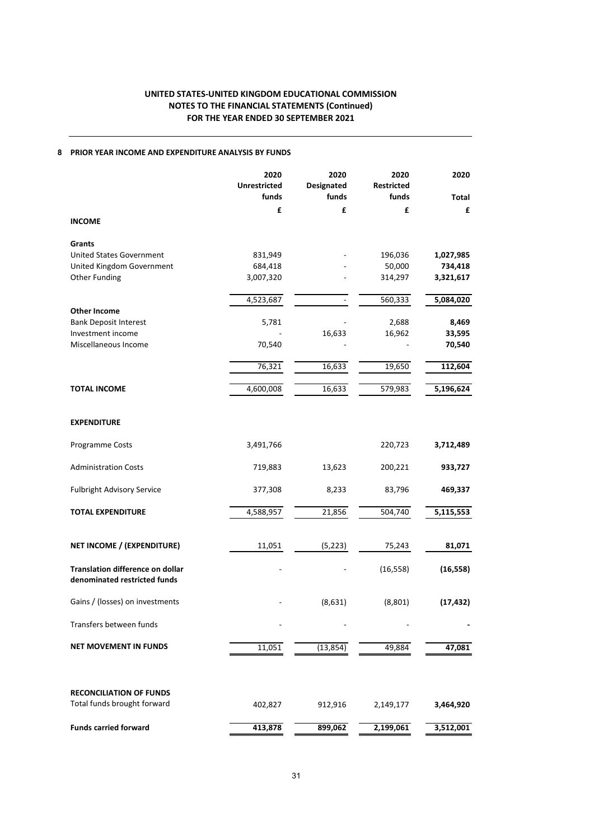### 8 PRIOR YEAR INCOME AND EXPENDITURE ANALYSIS BY FUNDS

|                                                                         | 2020<br><b>Unrestricted</b><br>funds | 2020<br>Designated<br>funds | 2020<br><b>Restricted</b><br>funds | 2020<br><b>Total</b> |
|-------------------------------------------------------------------------|--------------------------------------|-----------------------------|------------------------------------|----------------------|
| <b>INCOME</b>                                                           | £                                    | £                           | £                                  | £                    |
|                                                                         |                                      |                             |                                    |                      |
| Grants                                                                  |                                      |                             |                                    |                      |
| <b>United States Government</b><br>United Kingdom Government            | 831,949<br>684,418                   |                             | 196,036<br>50,000                  | 1,027,985<br>734,418 |
| <b>Other Funding</b>                                                    | 3,007,320                            |                             | 314,297                            | 3,321,617            |
|                                                                         | 4,523,687                            |                             | 560,333                            | 5,084,020            |
| Other Income                                                            |                                      |                             |                                    |                      |
| <b>Bank Deposit Interest</b>                                            | 5,781                                |                             | 2,688                              | 8,469                |
| Investment income                                                       |                                      | 16,633                      | 16,962                             | 33,595               |
| Miscellaneous Income                                                    | 70,540                               |                             |                                    | 70,540               |
|                                                                         | 76,321                               | 16,633                      | 19,650                             | 112,604              |
| <b>TOTAL INCOME</b>                                                     | 4,600,008                            | 16,633                      | 579,983                            | 5,196,624            |
|                                                                         |                                      |                             |                                    |                      |
| <b>EXPENDITURE</b>                                                      |                                      |                             |                                    |                      |
| Programme Costs                                                         | 3,491,766                            |                             | 220,723                            | 3,712,489            |
| <b>Administration Costs</b>                                             | 719,883                              | 13,623                      | 200,221                            | 933,727              |
| <b>Fulbright Advisory Service</b>                                       | 377,308                              | 8,233                       | 83,796                             | 469,337              |
| <b>TOTAL EXPENDITURE</b>                                                | 4,588,957                            | 21,856                      | 504,740                            | 5,115,553            |
|                                                                         |                                      |                             |                                    |                      |
| NET INCOME / (EXPENDITURE)                                              | 11,051                               | (5, 223)                    | 75,243                             | 81,071               |
| <b>Translation difference on dollar</b><br>denominated restricted funds |                                      |                             | (16, 558)                          | (16, 558)            |
| Gains / (losses) on investments                                         |                                      | (8,631)                     | (8,801)                            | (17, 432)            |
| Transfers between funds                                                 |                                      |                             |                                    |                      |
| <b>NET MOVEMENT IN FUNDS</b>                                            | 11,051                               | (13, 854)                   | 49,884                             | 47,081               |
|                                                                         |                                      |                             |                                    |                      |
| <b>RECONCILIATION OF FUNDS</b><br>Total funds brought forward           | 402,827                              | 912,916                     | 2,149,177                          | 3,464,920            |
|                                                                         |                                      |                             |                                    |                      |
| <b>Funds carried forward</b>                                            | 413,878                              | 899,062                     | 2,199,061                          | 3,512,001            |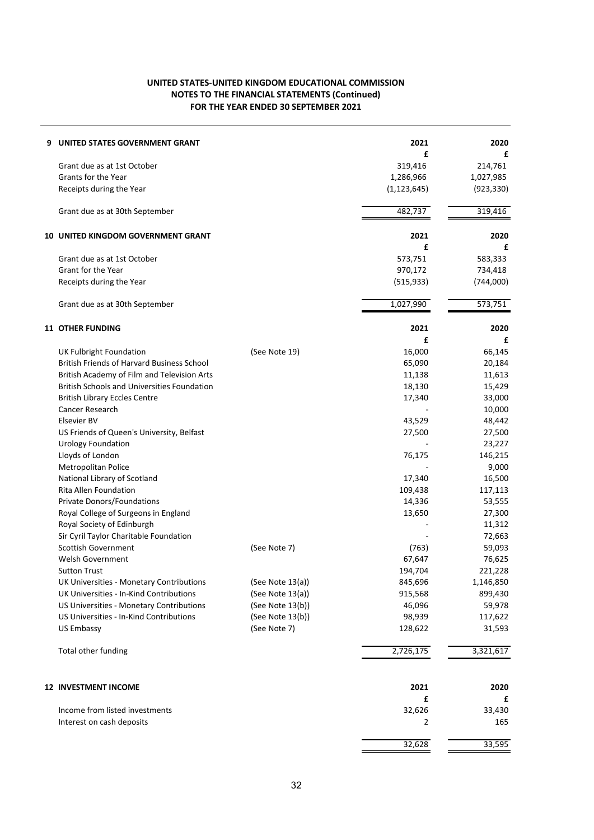| 9 | UNITED STATES GOVERNMENT GRANT                        |                  | 2021          | 2020         |
|---|-------------------------------------------------------|------------------|---------------|--------------|
|   | Grant due as at 1st October                           |                  | £<br>319,416  | £<br>214,761 |
|   | Grants for the Year                                   |                  | 1,286,966     | 1,027,985    |
|   | Receipts during the Year                              |                  | (1, 123, 645) | (923, 330)   |
|   |                                                       |                  |               |              |
|   | Grant due as at 30th September                        |                  | 482,737       | 319,416      |
|   | <b>10 UNITED KINGDOM GOVERNMENT GRANT</b>             |                  | 2021          | 2020         |
|   |                                                       |                  | £             | £            |
|   | Grant due as at 1st October                           |                  | 573,751       | 583,333      |
|   | Grant for the Year                                    |                  | 970,172       | 734,418      |
|   | Receipts during the Year                              |                  | (515, 933)    | (744,000)    |
|   | Grant due as at 30th September                        |                  | 1,027,990     | 573,751      |
|   | <b>11 OTHER FUNDING</b>                               |                  | 2021          | 2020         |
|   |                                                       |                  | £             | £            |
|   | <b>UK Fulbright Foundation</b>                        | (See Note 19)    | 16,000        | 66,145       |
|   | <b>British Friends of Harvard Business School</b>     |                  | 65,090        | 20,184       |
|   | British Academy of Film and Television Arts           |                  | 11,138        | 11,613       |
|   | <b>British Schools and Universities Foundation</b>    |                  | 18,130        | 15,429       |
|   | <b>British Library Eccles Centre</b>                  |                  | 17,340        | 33,000       |
|   | <b>Cancer Research</b>                                |                  |               | 10,000       |
|   | Elsevier BV                                           |                  | 43,529        | 48,442       |
|   | US Friends of Queen's University, Belfast             |                  | 27,500        | 27,500       |
|   | <b>Urology Foundation</b>                             |                  |               | 23,227       |
|   | Lloyds of London                                      |                  | 76,175        | 146,215      |
|   |                                                       |                  |               | 9,000        |
|   | Metropolitan Police                                   |                  | 17,340        |              |
|   | National Library of Scotland<br>Rita Allen Foundation |                  |               | 16,500       |
|   |                                                       |                  | 109,438       | 117,113      |
|   | Private Donors/Foundations                            |                  | 14,336        | 53,555       |
|   | Royal College of Surgeons in England                  |                  | 13,650        | 27,300       |
|   | Royal Society of Edinburgh                            |                  |               | 11,312       |
|   | Sir Cyril Taylor Charitable Foundation                |                  |               | 72,663       |
|   | Scottish Government                                   | (See Note 7)     | (763)         | 59,093       |
|   | Welsh Government                                      |                  | 67,647        | 76,625       |
|   | <b>Sutton Trust</b>                                   |                  | 194,704       | 221,228      |
|   | UK Universities - Monetary Contributions              | (See Note 13(a)) | 845,696       | 1,146,850    |
|   | UK Universities - In-Kind Contributions               | (See Note 13(a)) | 915,568       | 899,430      |
|   | US Universities - Monetary Contributions              | (See Note 13(b)) | 46,096        | 59,978       |
|   | US Universities - In-Kind Contributions               | (See Note 13(b)) | 98,939        | 117,622      |
|   | <b>US Embassy</b>                                     | (See Note 7)     | 128,622       | 31,593       |
|   | Total other funding                                   |                  | 2,726,175     | 3,321,617    |
|   | <b>12 INVESTMENT INCOME</b>                           |                  | 2021          | 2020         |
|   |                                                       |                  | £             | £            |
|   | Income from listed investments                        |                  | 32,626        | 33,430       |
|   | Interest on cash deposits                             |                  | 2             | 165          |
|   |                                                       |                  | 32,628        | 33,595       |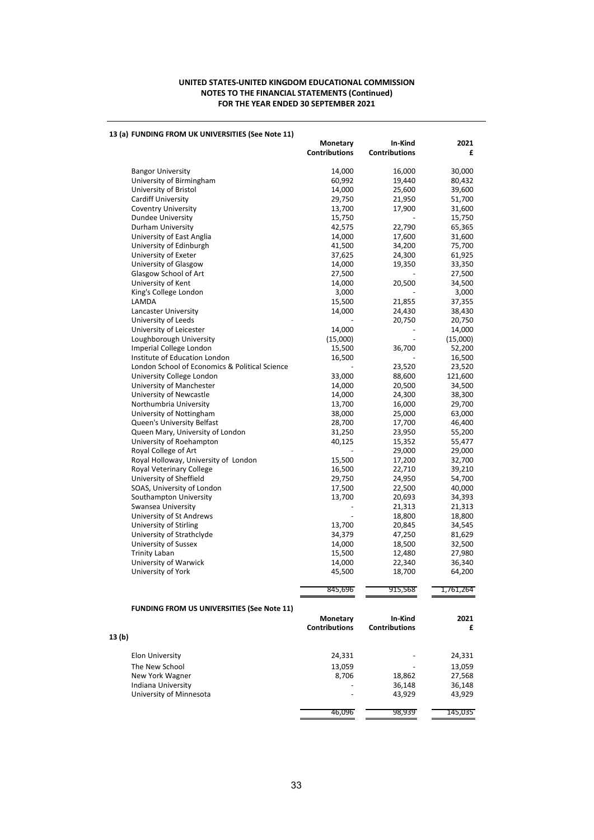|        | 13 (a) FUNDING FROM UK UNIVERSITIES (See Note 11) |                      |                      |                  |
|--------|---------------------------------------------------|----------------------|----------------------|------------------|
|        |                                                   | Monetary             | In-Kind              | 2021             |
|        |                                                   | <b>Contributions</b> | <b>Contributions</b> | £                |
|        |                                                   |                      |                      |                  |
|        | <b>Bangor University</b>                          | 14,000               | 16,000               | 30,000           |
|        | University of Birmingham<br>University of Bristol | 60,992<br>14,000     | 19,440<br>25,600     | 80,432<br>39,600 |
|        | Cardiff University                                |                      | 21,950               | 51,700           |
|        | <b>Coventry University</b>                        | 29,750<br>13,700     | 17,900               | 31,600           |
|        | <b>Dundee University</b>                          | 15,750               |                      | 15,750           |
|        | Durham University                                 | 42,575               | 22,790               | 65,365           |
|        | University of East Anglia                         | 14,000               | 17,600               | 31,600           |
|        | University of Edinburgh                           | 41,500               | 34,200               | 75,700           |
|        | University of Exeter                              | 37,625               | 24,300               | 61,925           |
|        | University of Glasgow                             | 14,000               | 19,350               | 33,350           |
|        | Glasgow School of Art                             | 27,500               |                      | 27,500           |
|        | University of Kent                                | 14,000               | 20,500               | 34,500           |
|        | King's College London                             | 3,000                |                      | 3,000            |
|        | LAMDA                                             | 15,500               | 21,855               | 37,355           |
|        | Lancaster University                              | 14,000               | 24,430               | 38,430           |
|        | University of Leeds                               |                      | 20,750               | 20,750           |
|        | University of Leicester                           | 14,000               |                      | 14,000           |
|        | Loughborough University                           | (15,000)             |                      | (15,000)         |
|        | Imperial College London                           | 15,500               | 36,700               | 52,200           |
|        | Institute of Education London                     | 16,500               |                      | 16,500           |
|        | London School of Economics & Political Science    |                      | 23,520               | 23,520           |
|        | University College London                         | 33,000               | 88,600               | 121,600          |
|        | University of Manchester                          | 14,000               | 20,500               | 34,500           |
|        | University of Newcastle                           | 14,000               | 24,300               | 38,300           |
|        | Northumbria University                            | 13,700               | 16,000               | 29,700           |
|        | University of Nottingham                          | 38,000               | 25,000               | 63,000           |
|        | Queen's University Belfast                        | 28,700               | 17,700               | 46,400           |
|        | Queen Mary, University of London                  | 31,250               | 23,950               | 55,200           |
|        | University of Roehampton                          | 40,125               | 15,352               | 55,477           |
|        | Royal College of Art                              |                      | 29,000               | 29,000           |
|        | Royal Holloway, University of London              | 15,500               | 17,200               | 32,700           |
|        | Royal Veterinary College                          | 16,500               | 22,710               | 39,210           |
|        | University of Sheffield                           | 29,750               | 24,950               | 54,700           |
|        | SOAS, University of London                        | 17,500               | 22,500               | 40,000           |
|        | Southampton University                            | 13,700               | 20,693               | 34,393           |
|        | Swansea University                                |                      | 21,313               | 21,313           |
|        | University of St Andrews                          |                      | 18,800               | 18,800           |
|        | University of Stirling                            | 13,700               | 20,845<br>47,250     | 34,545           |
|        | University of Strathclyde<br>University of Sussex | 34,379<br>14,000     | 18,500               | 81,629<br>32,500 |
|        | Trinity Laban                                     | 15,500               | 12,480               | 27,980           |
|        | University of Warwick                             | 14,000               | 22,340               | 36,340           |
|        | University of York                                | 45,500               | 18,700               | 64,200           |
|        |                                                   |                      |                      |                  |
|        |                                                   | 845,696              | 915,568              | 1,761,264        |
|        |                                                   |                      |                      |                  |
|        | <b>FUNDING FROM US UNIVERSITIES (See Note 11)</b> | <b>Monetary</b>      | In-Kind              | 2021             |
|        |                                                   | <b>Contributions</b> | <b>Contributions</b> | £                |
| 13 (b) |                                                   |                      |                      |                  |
|        |                                                   |                      |                      |                  |
|        | <b>Elon University</b>                            | 24,331               |                      | 24,331           |
|        | The New School                                    | 13,059               |                      | 13,059           |
|        | New York Wagner                                   | 8,706                | 18,862               | 27,568           |
|        | Indiana University                                |                      | 36,148               | 36,148           |
|        | University of Minnesota                           |                      | 43,929               | 43,929           |
|        |                                                   | 46,096               | 98,939               | 145,035          |
|        |                                                   |                      |                      |                  |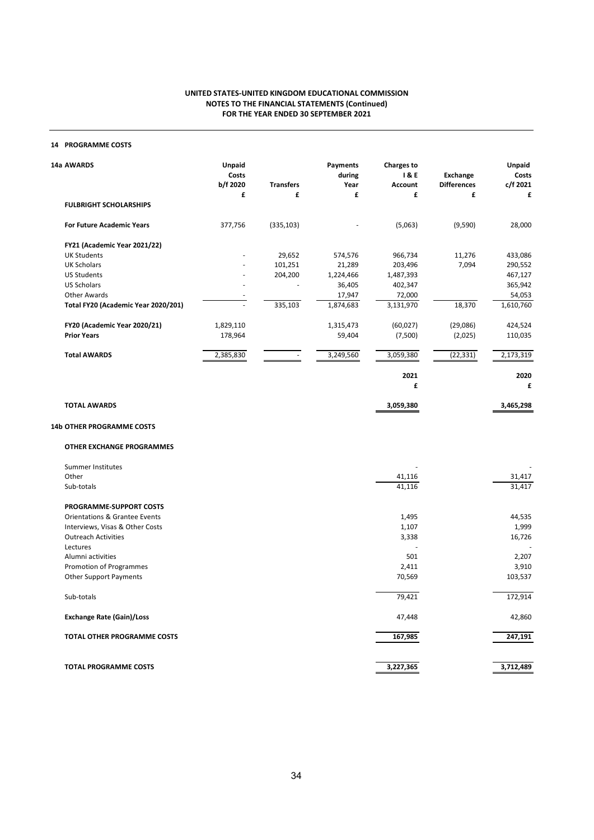### 14 PROGRAMME COSTS

| 14a AWARDS                               | Unpaid<br>Costs<br>b/f 2020 | <b>Transfers</b> | Payments<br>during<br>Year | <b>Charges to</b><br>1&E<br><b>Account</b> | Exchange<br><b>Differences</b> | Unpaid<br>Costs<br>c/f 2021 |
|------------------------------------------|-----------------------------|------------------|----------------------------|--------------------------------------------|--------------------------------|-----------------------------|
|                                          | £                           | £                | £                          | £                                          | £                              | £                           |
| <b>FULBRIGHT SCHOLARSHIPS</b>            |                             |                  |                            |                                            |                                |                             |
| <b>For Future Academic Years</b>         | 377,756                     | (335, 103)       |                            | (5,063)                                    | (9,590)                        | 28,000                      |
| FY21 (Academic Year 2021/22)             |                             |                  |                            |                                            |                                |                             |
| <b>UK Students</b>                       |                             | 29,652           | 574,576                    | 966,734                                    | 11,276                         | 433,086                     |
| <b>UK Scholars</b>                       |                             | 101,251          | 21,289                     | 203,496                                    | 7,094                          | 290,552                     |
| <b>US Students</b>                       |                             | 204,200          | 1,224,466                  | 1,487,393                                  |                                | 467,127                     |
| <b>US Scholars</b>                       |                             |                  | 36,405                     | 402,347                                    |                                | 365,942                     |
| <b>Other Awards</b>                      |                             |                  | 17,947                     | 72,000                                     |                                | 54,053                      |
| Total FY20 (Academic Year 2020/201)      |                             | 335,103          | 1,874,683                  | 3,131,970                                  | 18,370                         | 1,610,760                   |
| FY20 (Academic Year 2020/21)             | 1,829,110                   |                  | 1,315,473                  | (60, 027)                                  | (29,086)                       | 424,524                     |
| <b>Prior Years</b>                       | 178,964                     |                  | 59,404                     | (7,500)                                    | (2,025)                        | 110,035                     |
| <b>Total AWARDS</b>                      | 2,385,830                   | $\sim$           | 3,249,560                  | 3,059,380                                  | (22, 331)                      | 2,173,319                   |
|                                          |                             |                  |                            | 2021                                       |                                | 2020                        |
|                                          |                             |                  |                            | £                                          |                                | £                           |
| <b>TOTAL AWARDS</b>                      |                             |                  |                            | 3,059,380                                  |                                | 3,465,298                   |
| <b>14b OTHER PROGRAMME COSTS</b>         |                             |                  |                            |                                            |                                |                             |
| <b>OTHER EXCHANGE PROGRAMMES</b>         |                             |                  |                            |                                            |                                |                             |
| Summer Institutes                        |                             |                  |                            |                                            |                                |                             |
| Other                                    |                             |                  |                            | 41,116                                     |                                | 31,417                      |
| Sub-totals                               |                             |                  |                            | 41,116                                     |                                | 31,417                      |
| PROGRAMME-SUPPORT COSTS                  |                             |                  |                            |                                            |                                |                             |
| <b>Orientations &amp; Grantee Events</b> |                             |                  |                            | 1,495                                      |                                | 44,535                      |
| Interviews, Visas & Other Costs          |                             |                  |                            | 1,107                                      |                                | 1,999                       |
| <b>Outreach Activities</b>               |                             |                  |                            | 3,338                                      |                                | 16,726                      |
| Lectures                                 |                             |                  |                            |                                            |                                |                             |
| Alumni activities                        |                             |                  |                            | 501                                        |                                | 2,207                       |
| Promotion of Programmes                  |                             |                  |                            | 2,411                                      |                                | 3,910                       |

| Other Support Payments             | 70,569    | 103,537   |
|------------------------------------|-----------|-----------|
| Sub-totals                         | 79,421    | 172,914   |
| <b>Exchange Rate (Gain)/Loss</b>   | 47,448    | 42,860    |
| <b>TOTAL OTHER PROGRAMME COSTS</b> | 167,985   | 247,191   |
| <b>TOTAL PROGRAMME COSTS</b>       | 3,227,365 | 3,712,489 |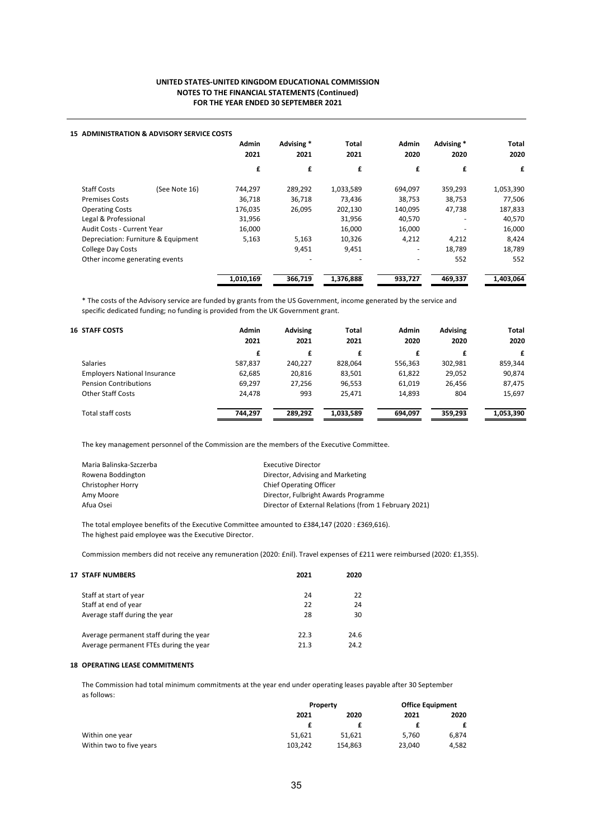|                                | <b>15 ADMINISTRATION &amp; ADVISORY SERVICE COSTS</b> |              |            |           |              |            |           |      |      |
|--------------------------------|-------------------------------------------------------|--------------|------------|-----------|--------------|------------|-----------|------|------|
|                                |                                                       | <b>Admin</b> | Advising * | Total     | <b>Admin</b> | Advising * | Total     |      |      |
|                                |                                                       | 2021         |            |           | 2021         | 2021       | 2020      | 2020 | 2020 |
|                                |                                                       | £            | £          | £         | £            | £          | £         |      |      |
| <b>Staff Costs</b>             | (See Note 16)                                         | 744,297      | 289,292    | 1,033,589 | 694,097      | 359,293    | 1,053,390 |      |      |
| <b>Premises Costs</b>          |                                                       | 36,718       | 36,718     | 73,436    | 38,753       | 38,753     | 77,506    |      |      |
| <b>Operating Costs</b>         |                                                       | 176,035      | 26,095     | 202,130   | 140,095      | 47,738     | 187,833   |      |      |
| Legal & Professional           |                                                       | 31,956       |            | 31,956    | 40,570       | -          | 40,570    |      |      |
| Audit Costs - Current Year     |                                                       | 16,000       |            | 16,000    | 16,000       |            | 16,000    |      |      |
|                                | Depreciation: Furniture & Equipment                   | 5,163        | 5,163      | 10,326    | 4,212        | 4,212      | 8,424     |      |      |
| <b>College Day Costs</b>       |                                                       |              | 9,451      | 9,451     | ۰            | 18,789     | 18,789    |      |      |
| Other income generating events |                                                       |              |            | -         |              | 552        | 552       |      |      |
|                                |                                                       | 1,010,169    | 366,719    | 1,376,888 | 933,727      | 469,337    | 1,403,064 |      |      |

\* The costs of the Advisory service are funded by grants from the US Government, income generated by the service and specific dedicated funding; no funding is provided from the UK Government grant.

| <b>16 STAFF COSTS</b>               | Admin<br>2021 | <b>Advising</b><br>2021 | Total<br>2021 | Admin<br>2020 | <b>Advising</b><br>2020 | Total<br>2020 |
|-------------------------------------|---------------|-------------------------|---------------|---------------|-------------------------|---------------|
|                                     | £             | £                       | £             |               |                         |               |
|                                     |               |                         |               | £             | £                       | £             |
| <b>Salaries</b>                     | 587,837       | 240,227                 | 828.064       | 556,363       | 302,981                 | 859,344       |
| <b>Employers National Insurance</b> | 62,685        | 20.816                  | 83,501        | 61,822        | 29,052                  | 90,874        |
| <b>Pension Contributions</b>        | 69,297        | 27,256                  | 96,553        | 61,019        | 26,456                  | 87,475        |
| <b>Other Staff Costs</b>            | 24,478        | 993                     | 25,471        | 14,893        | 804                     | 15,697        |
| Total staff costs                   | 744.297       | 289,292                 | 1,033,589     | 694.097       | 359,293                 | 1,053,390     |

The key management personnel of the Commission are the members of the Executive Committee.

| Maria Balinska-Szczerba | <b>Executive Director</b>                             |
|-------------------------|-------------------------------------------------------|
| Rowena Boddington       | Director, Advising and Marketing                      |
| Christopher Horry       | <b>Chief Operating Officer</b>                        |
| Amy Moore               | Director, Fulbright Awards Programme                  |
| Afua Osei               | Director of External Relations (from 1 February 2021) |

The total employee benefits of the Executive Committee amounted to £384,147 (2020 : £369,616). The highest paid employee was the Executive Director.

Commission members did not receive any remuneration (2020: £nil). Travel expenses of £211 were reimbursed (2020: £1,355).

| <b>17 STAFF NUMBERS</b>                 | 2021 | 2020 |
|-----------------------------------------|------|------|
| Staff at start of year                  | 24   | 22   |
| Staff at end of year                    | 22   | 24   |
| Average staff during the year           | 28   | 30   |
| Average permanent staff during the year | 22.3 | 24.6 |
| Average permanent FTEs during the year  | 21.3 | 24.2 |

### 18 OPERATING LEASE COMMITMENTS

The Commission had total minimum commitments at the year end under operating leases payable after 30 September as follows:

|                          | Property |         | <b>Office Equipment</b> |       |  |
|--------------------------|----------|---------|-------------------------|-------|--|
|                          | 2021     | 2020    | 2021                    | 2020  |  |
|                          |          |         |                         |       |  |
| Within one year          | 51.621   | 51.621  | 5.760                   | 6,874 |  |
| Within two to five years | 103,242  | 154.863 | 23.040                  | 4,582 |  |